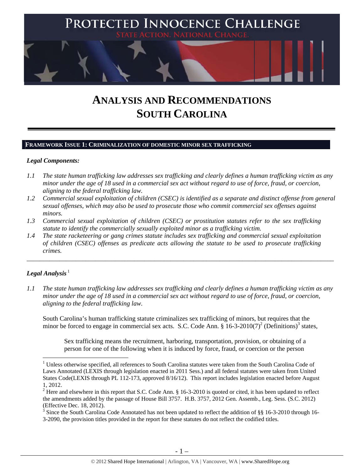

# **ANALYSIS AND RECOMMENDATIONS SOUTH CAROLINA**

#### **FRAMEWORK ISSUE 1: CRIMINALIZATION OF DOMESTIC MINOR SEX TRAFFICKING**

#### *Legal Components:*

- *1.1 The state human trafficking law addresses sex trafficking and clearly defines a human trafficking victim as any minor under the age of 18 used in a commercial sex act without regard to use of force, fraud, or coercion, aligning to the federal trafficking law.*
- *1.2 Commercial sexual exploitation of children (CSEC) is identified as a separate and distinct offense from general sexual offenses, which may also be used to prosecute those who commit commercial sex offenses against minors.*
- *1.3 Commercial sexual exploitation of children (CSEC) or prostitution statutes refer to the sex trafficking statute to identify the commercially sexually exploited minor as a trafficking victim.*
- *1.4 The state racketeering or gang crimes statute includes sex trafficking and commercial sexual exploitation of children (CSEC) offenses as predicate acts allowing the statute to be used to prosecute trafficking crimes.*

# $Legal$  *Analysis*<sup>1</sup>

*1.1 The state human trafficking law addresses sex trafficking and clearly defines a human trafficking victim as any minor under the age of 18 used in a commercial sex act without regard to use of force, fraud, or coercion, aligning to the federal trafficking law.*

\_\_\_\_\_\_\_\_\_\_\_\_\_\_\_\_\_\_\_\_\_\_\_\_\_\_\_\_\_\_\_\_\_\_\_\_\_\_\_\_\_\_\_\_\_\_\_\_\_\_\_\_\_\_\_\_\_\_\_\_\_\_\_\_\_\_\_\_\_\_\_\_\_\_\_\_\_\_\_\_\_\_\_\_\_\_\_\_\_\_\_\_\_\_

South Carolina's human trafficking statute criminalizes sex trafficking of minors, but requires that the minor be forced to engage in commercial sex acts. S.C. Code Ann.  $\S$  16-3-2010(7)<sup>2</sup> (Definitions)<sup>3</sup> states,

Sex trafficking means the recruitment, harboring, transportation, provision, or obtaining of a person for one of the following when it is induced by force, fraud, or coercion or the person

<sup>&</sup>lt;sup>1</sup> Unless otherwise specified, all references to South Carolina statutes were taken from the South Carolina Code of Laws Annotated (LEXIS through legislation enacted in 2011 Sess.) and all federal statutes were taken from United States Code(LEXIS through PL 112-173, approved 8/16/12). This report includes legislation enacted before August 1, 2012.

<sup>&</sup>lt;sup>2</sup> Here and elsewhere in this report that S.C. Code Ann. § 16-3-2010 is quoted or cited, it has been updated to reflect the amendments added by the passage of House Bill 3757. H.B. 3757, 2012 Gen. Assemb., Leg. Sess. (S.C. 2012) (Effective Dec. 18, 2012).

<sup>&</sup>lt;sup>3</sup> Since the South Carolina Code Annotated has not been updated to reflect the addition of §§ 16-3-2010 through 16-3-2090, the provision titles provided in the report for these statutes do not reflect the codified titles.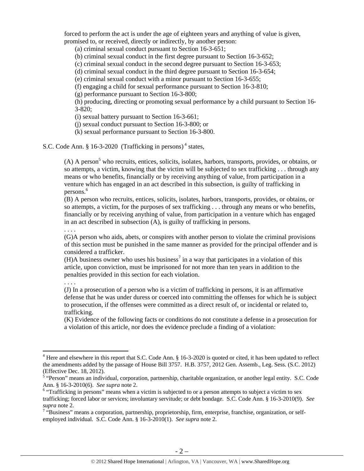forced to perform the act is under the age of eighteen years and anything of value is given, promised to, or received, directly or indirectly, by another person:

(a) criminal sexual conduct pursuant to Section 16-3-651;

(b) criminal sexual conduct in the first degree pursuant to Section 16-3-652;

(c) criminal sexual conduct in the second degree pursuant to Section 16-3-653;

(d) criminal sexual conduct in the third degree pursuant to Section 16-3-654;

(e) criminal sexual conduct with a minor pursuant to Section 16-3-655;

(f) engaging a child for sexual performance pursuant to Section 16-3-810;

(g) performance pursuant to Section 16-3-800;

(h) producing, directing or promoting sexual performance by a child pursuant to Section 16- 3-820;

(i) sexual battery pursuant to Section 16-3-661;

(j) sexual conduct pursuant to Section 16-3-800; or

(k) sexual performance pursuant to Section 16-3-800.

S.C. Code Ann. § 16-3-2020 (Trafficking in persons)<sup>4</sup> states,

 $(A)$  A person<sup>5</sup> who recruits, entices, solicits, isolates, harbors, transports, provides, or obtains, or so attempts, a victim, knowing that the victim will be subjected to sex trafficking . . . through any means or who benefits, financially or by receiving anything of value, from participation in a venture which has engaged in an act described in this subsection, is guilty of trafficking in persons.<sup>6</sup>

(B) A person who recruits, entices, solicits, isolates, harbors, transports, provides, or obtains, or so attempts, a victim, for the purposes of sex trafficking . . . through any means or who benefits, financially or by receiving anything of value, from participation in a venture which has engaged in an act described in subsection (A), is guilty of trafficking in persons.

. . . .

(G)A person who aids, abets, or conspires with another person to violate the criminal provisions of this section must be punished in the same manner as provided for the principal offender and is considered a trafficker.

(H)A business owner who uses his business<sup>7</sup> in a way that participates in a violation of this article, upon conviction, must be imprisoned for not more than ten years in addition to the penalties provided in this section for each violation.

. . . .

(J) In a prosecution of a person who is a victim of trafficking in persons, it is an affirmative defense that he was under duress or coerced into committing the offenses for which he is subject to prosecution, if the offenses were committed as a direct result of, or incidental or related to, trafficking.

(K) Evidence of the following facts or conditions do not constitute a defense in a prosecution for a violation of this article, nor does the evidence preclude a finding of a violation:

 $4$  Here and elsewhere in this report that S.C. Code Ann. § 16-3-2020 is quoted or cited, it has been updated to reflect the amendments added by the passage of House Bill 3757. H.B. 3757, 2012 Gen. Assemb., Leg. Sess. (S.C. 2012) (Effective Dec. 18, 2012).

 $\frac{1}{5}$  "Person" means an individual, corporation, partnership, charitable organization, or another legal entity. S.C. Code Ann. § 16-3-2010(6). *See supra* note 2. 6

<sup>&</sup>lt;sup>6</sup> "Trafficking in persons" means when a victim is subjected to or a person attempts to subject a victim to sex trafficking; forced labor or services; involuntary servitude; or debt bondage. S.C. Code Ann. § 16-3-2010(9). *See* 

supra note 2.<br><sup>7</sup> "Business" means a corporation, partnership, proprietorship, firm, enterprise, franchise, organization, or selfemployed individual. S.C. Code Ann. § 16-3-2010(1). *See supra* note 2.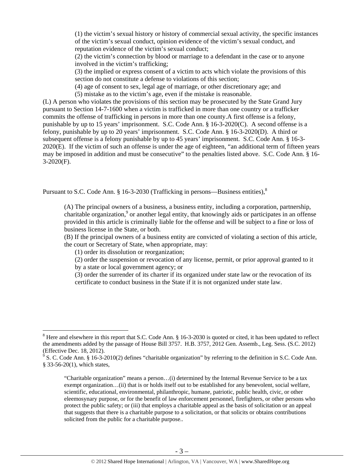(1) the victim's sexual history or history of commercial sexual activity, the specific instances of the victim's sexual conduct, opinion evidence of the victim's sexual conduct, and reputation evidence of the victim's sexual conduct;

(2) the victim's connection by blood or marriage to a defendant in the case or to anyone involved in the victim's trafficking;

(3) the implied or express consent of a victim to acts which violate the provisions of this section do not constitute a defense to violations of this section;

(4) age of consent to sex, legal age of marriage, or other discretionary age; and

(5) mistake as to the victim's age, even if the mistake is reasonable.

(L) A person who violates the provisions of this section may be prosecuted by the State Grand Jury pursuant to Section 14-7-1600 when a victim is trafficked in more than one country or a trafficker commits the offense of trafficking in persons in more than one county.A first offense is a felony, punishable by up to 15 years' imprisonment. S.C. Code Ann. § 16-3-2020(C). A second offense is a felony, punishable by up to 20 years' imprisonment. S.C. Code Ann. § 16-3-2020(D). A third or subsequent offense is a felony punishable by up to 45 years' imprisonment. S.C. Code Ann. § 16-3- 2020(E). If the victim of such an offense is under the age of eighteen, "an additional term of fifteen years may be imposed in addition and must be consecutive" to the penalties listed above. S.C. Code Ann. § 16- 3-2020(F).

Pursuant to S.C. Code Ann.  $§$  16-3-2030 (Trafficking in persons—Business entities), $§$ 

(A) The principal owners of a business, a business entity, including a corporation, partnership, charitable organization,<sup>9</sup> or another legal entity, that knowingly aids or participates in an offense provided in this article is criminally liable for the offense and will be subject to a fine or loss of business license in the State, or both.

(B) If the principal owners of a business entity are convicted of violating a section of this article, the court or Secretary of State, when appropriate, may:

(1) order its dissolution or reorganization;

(2) order the suspension or revocation of any license, permit, or prior approval granted to it by a state or local government agency; or

(3) order the surrender of its charter if its organized under state law or the revocation of its certificate to conduct business in the State if it is not organized under state law.

 $8$  Here and elsewhere in this report that S.C. Code Ann. § 16-3-2030 is quoted or cited, it has been updated to reflect the amendments added by the passage of House Bill 3757. H.B. 3757, 2012 Gen. Assemb., Leg. Sess. (S.C. 2012) (Effective Dec. 18, 2012).

<sup>&</sup>lt;sup>9</sup> S. C. Code Ann. § 16-3-2010(2) defines "charitable organization" by referring to the definition in S.C. Code Ann. § 33-56-20(1), which states,

<sup>&</sup>quot;Charitable organization" means a person…(i) determined by the Internal Revenue Service to be a tax exempt organization...(ii) that is or holds itself out to be established for any benevolent, social welfare, scientific, educational, environmental, philanthropic, humane, patriotic, public health, civic, or other eleemosynary purpose, or for the benefit of law enforcement personnel, firefighters, or other persons who protect the public safety; or (iii) that employs a charitable appeal as the basis of solicitation or an appeal that suggests that there is a charitable purpose to a solicitation, or that solicits or obtains contributions solicited from the public for a charitable purpose..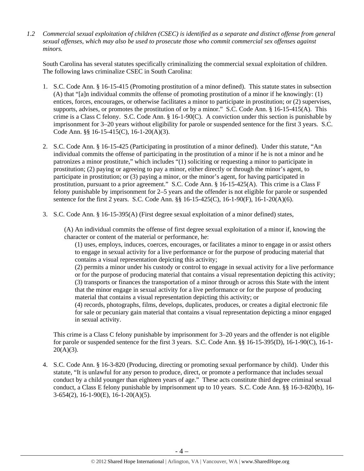*1.2 Commercial sexual exploitation of children (CSEC) is identified as a separate and distinct offense from general sexual offenses, which may also be used to prosecute those who commit commercial sex offenses against minors.*

South Carolina has several statutes specifically criminalizing the commercial sexual exploitation of children. The following laws criminalize CSEC in South Carolina:

- 1. S.C. Code Ann. § 16-15-415 (Promoting prostitution of a minor defined). This statute states in subsection (A) that "[a]n individual commits the offense of promoting prostitution of a minor if he knowingly: (1) entices, forces, encourages, or otherwise facilitates a minor to participate in prostitution; or (2) supervises, supports, advises, or promotes the prostitution of or by a minor." S.C. Code Ann. § 16-15-415(A). This crime is a Class C felony. S.C. Code Ann. § 16-1-90(C). A conviction under this section is punishable by imprisonment for 3–20 years without eligibility for parole or suspended sentence for the first 3 years. S.C. Code Ann. §§ 16-15-415(C), 16-1-20(A)(3).
- 2. S.C. Code Ann. § 16-15-425 (Participating in prostitution of a minor defined). Under this statute, "An individual commits the offense of participating in the prostitution of a minor if he is not a minor and he patronizes a minor prostitute," which includes "(1) soliciting or requesting a minor to participate in prostitution; (2) paying or agreeing to pay a minor, either directly or through the minor's agent, to participate in prostitution; or (3) paying a minor, or the minor's agent, for having participated in prostitution, pursuant to a prior agreement." S.C. Code Ann. § 16-15-425(A). This crime is a Class F felony punishable by imprisonment for 2–5 years and the offender is not eligible for parole or suspended sentence for the first 2 years. S.C. Code Ann. §§ 16-15-425(C), 16-1-90(F), 16-1-20(A)(6).
- 3. S.C. Code Ann. § 16-15-395(A) (First degree sexual exploitation of a minor defined) states,

(A) An individual commits the offense of first degree sexual exploitation of a minor if, knowing the character or content of the material or performance, he:

(1) uses, employs, induces, coerces, encourages, or facilitates a minor to engage in or assist others to engage in sexual activity for a live performance or for the purpose of producing material that contains a visual representation depicting this activity;

(2) permits a minor under his custody or control to engage in sexual activity for a live performance or for the purpose of producing material that contains a visual representation depicting this activity; (3) transports or finances the transportation of a minor through or across this State with the intent that the minor engage in sexual activity for a live performance or for the purpose of producing material that contains a visual representation depicting this activity; or

(4) records, photographs, films, develops, duplicates, produces, or creates a digital electronic file for sale or pecuniary gain material that contains a visual representation depicting a minor engaged in sexual activity.

This crime is a Class C felony punishable by imprisonment for 3–20 years and the offender is not eligible for parole or suspended sentence for the first 3 years. S.C. Code Ann. §§ 16-15-395(D), 16-1-90(C), 16-1-  $20(A)(3)$ .

4. S.C. Code Ann. § 16-3-820 (Producing, directing or promoting sexual performance by child). Under this statute, "It is unlawful for any person to produce, direct, or promote a performance that includes sexual conduct by a child younger than eighteen years of age." These acts constitute third degree criminal sexual conduct, a Class E felony punishable by imprisonment up to 10 years. S.C. Code Ann. §§ 16-3-820(b), 16- 3-654(2), 16-1-90(E), 16-1-20(A)(5).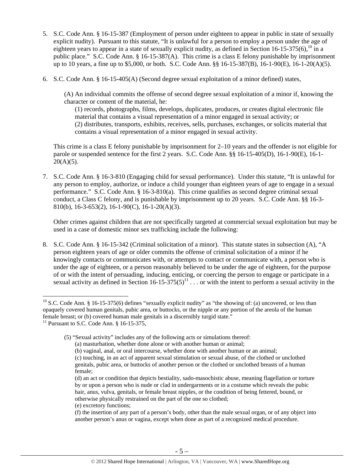- 5. S.C. Code Ann. § 16-15-387 (Employment of person under eighteen to appear in public in state of sexually explicit nudity). Pursuant to this statute, "It is unlawful for a person to employ a person under the age of eighteen years to appear in a state of sexually explicit nudity, as defined in Section 16-15-375(6),  $^{10}$  in a public place." S.C. Code Ann. § 16-15-387(A). This crime is a class E felony punishable by imprisonment up to 10 years, a fine up to \$5,000, or both. S.C. Code Ann. §§ 16-15-387(B), 16-1-90(E), 16-1-20(A)(5).
- 6. S.C. Code Ann. § 16-15-405(A) (Second degree sexual exploitation of a minor defined) states,

(A) An individual commits the offense of second degree sexual exploitation of a minor if, knowing the character or content of the material, he:

(1) records, photographs, films, develops, duplicates, produces, or creates digital electronic file material that contains a visual representation of a minor engaged in sexual activity; or (2) distributes, transports, exhibits, receives, sells, purchases, exchanges, or solicits material that contains a visual representation of a minor engaged in sexual activity.

This crime is a class E felony punishable by imprisonment for 2–10 years and the offender is not eligible for parole or suspended sentence for the first 2 years. S.C. Code Ann. §§ 16-15-405(D), 16-1-90(E), 16-1-  $20(A)(5)$ .

7. S.C. Code Ann. § 16-3-810 (Engaging child for sexual performance). Under this statute, "It is unlawful for any person to employ, authorize, or induce a child younger than eighteen years of age to engage in a sexual performance." S.C. Code Ann. § 16-3-810(a). This crime qualifies as second degree criminal sexual conduct, a Class C felony, and is punishable by imprisonment up to 20 years. S.C. Code Ann. §§ 16-3- 810(b), 16-3-653(2), 16-1-90(C), 16-1-20(A)(3).

Other crimes against children that are not specifically targeted at commercial sexual exploitation but may be used in a case of domestic minor sex trafficking include the following:

8. S.C. Code Ann. § 16-15-342 (Criminal solicitation of a minor). This statute states in subsection (A), "A person eighteen years of age or older commits the offense of criminal solicitation of a minor if he knowingly contacts or communicates with, or attempts to contact or communicate with, a person who is under the age of eighteen, or a person reasonably believed to be under the age of eighteen, for the purpose of or with the intent of persuading, inducing, enticing, or coercing the person to engage or participate in a sexual activity as defined in Section 16-15-375(5)<sup>11</sup>  $\ldots$  or with the intent to perform a sexual activity in the

(e) excretory functions;

 $10$  S.C. Code Ann. § 16-15-375(6) defines "sexually explicit nudity" as "the showing of: (a) uncovered, or less than opaquely covered human genitals, pubic area, or buttocks, or the nipple or any portion of the areola of the human female breast; or (b) covered human male genitals in a discernibly turgid state."

<sup>&</sup>lt;sup>11</sup> Pursuant to S.C. Code Ann.  $§$  16-15-375,

<sup>(5) &</sup>quot;Sexual activity" includes any of the following acts or simulations thereof:

<sup>(</sup>a) masturbation, whether done alone or with another human or animal;

<sup>(</sup>b) vaginal, anal, or oral intercourse, whether done with another human or an animal; (c) touching, in an act of apparent sexual stimulation or sexual abuse, of the clothed or unclothed genitals, pubic area, or buttocks of another person or the clothed or unclothed breasts of a human female;

<sup>(</sup>d) an act or condition that depicts bestiality, sado-masochistic abuse, meaning flagellation or torture by or upon a person who is nude or clad in undergarments or in a costume which reveals the pubic hair, anus, vulva, genitals, or female breast nipples, or the condition of being fettered, bound, or otherwise physically restrained on the part of the one so clothed;

<sup>(</sup>f) the insertion of any part of a person's body, other than the male sexual organ, or of any object into another person's anus or vagina, except when done as part of a recognized medical procedure.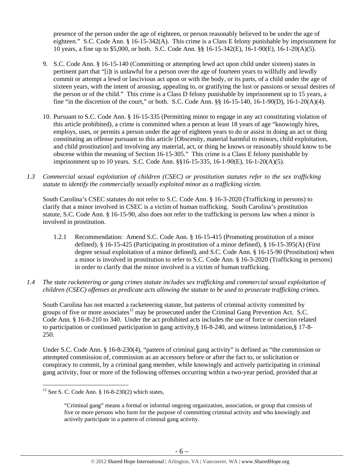presence of the person under the age of eighteen, or person reasonably believed to be under the age of eighteen." S.C. Code Ann. § 16-15-342(A). This crime is a Class E felony punishable by imprisonment for 10 years, a fine up to \$5,000, or both. S.C. Code Ann. §§ 16-15-342(E), 16-1-90(E), 16-1-20(A)(5).

- 9. S.C. Code Ann. § 16-15-140 (Committing or attempting lewd act upon child under sixteen) states in pertinent part that "[i]t is unlawful for a person over the age of fourteen years to willfully and lewdly commit or attempt a lewd or lascivious act upon or with the body, or its parts, of a child under the age of sixteen years, with the intent of arousing, appealing to, or gratifying the lust or passions or sexual desires of the person or of the child." This crime is a Class D felony punishable by imprisonment up to 15 years, a fine "in the discretion of the court," or both. S.C. Code Ann. §§ 16-15-140, 16-1-90(D), 16-1-20(A)(4).
- 10. Pursuant to S.C. Code Ann. § 16-15-335 (Permitting minor to engage in any act constituting violation of this article prohibited), a crime is committed when a person at least 18 years of age "knowingly hires, employs, uses, or permits a person under the age of eighteen years to do or assist in doing an act or thing constituting an offense pursuant to this article [Obscenity, material harmful to minors, child exploitation, and child prostitution] and involving any material, act, or thing he knows or reasonably should know to be obscene within the meaning of Section 16-15-305." This crime is a Class E felony punishable by imprisonment up to 10 years. S.C. Code Ann. §§16-15-335, 16-1-90(E), 16-1-20(A)(5).
- *1.3 Commercial sexual exploitation of children (CSEC) or prostitution statutes refer to the sex trafficking statute to identify the commercially sexually exploited minor as a trafficking victim.*

South Carolina's CSEC statutes do not refer to S.C. Code Ann. § 16-3-2020 (Trafficking in persons) to clarify that a minor involved in CSEC is a victim of human trafficking. South Carolina's prostitution statute, S.C. Code Ann. § 16-15-90, also does not refer to the trafficking in persons law when a minor is involved in prostitution.

- 1.2.1 Recommendation: Amend S.C. Code Ann. § 16-15-415 (Promoting prostitution of a minor defined), § 16-15-425 (Participating in prostitution of a minor defined), § 16-15-395(A) (First degree sexual exploitation of a minor defined), and S.C. Code Ann. § 16-15-90 (Prostitution) when a minor is involved in prostitution to refer to S.C. Code Ann. § 16-3-2020 (Trafficking in persons) in order to clarify that the minor involved is a victim of human trafficking.
- *1.4 The state racketeering or gang crimes statute includes sex trafficking and commercial sexual exploitation of children (CSEC) offenses as predicate acts allowing the statute to be used to prosecute trafficking crimes.*

South Carolina has not enacted a racketeering statute, but patterns of criminal activity committed by groups of five or more associates<sup>12</sup> may be prosecuted under the Criminal Gang Prevention Act. S.C. Code Ann. § 16-8-210 to 340. Under the act prohibited acts includes the use of force or coercion related to participation or continued participation in gang activity,§ 16-8-240, and witness intimidation,§ 17-8- 250.

Under S.C. Code Ann. § 16-8-230(4), "pattern of criminal gang activity" is defined as "the commission or attempted commission of, commission as an accessory before or after the fact to, or solicitation or conspiracy to commit, by a criminal gang member, while knowingly and actively participating in criminal gang activity, four or more of the following offenses occurring within a two-year period, provided that at

  $12$  See S. C. Code Ann. § 16-8-230(2) which states,

<sup>&</sup>quot;Criminal gang" means a formal or informal ongoing organization, association, or group that consists of five or more persons who form for the purpose of committing criminal activity and who knowingly and actively participate in a pattern of criminal gang activity.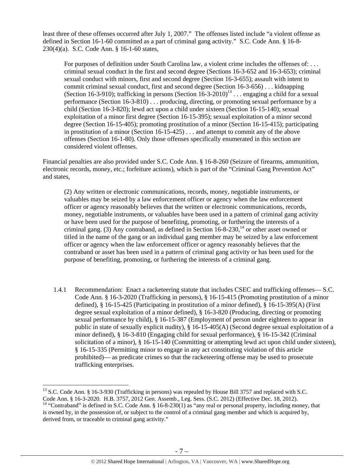least three of these offenses occurred after July 1, 2007." The offenses listed include "a violent offense as defined in Section 16-1-60 committed as a part of criminal gang activity." S.C. Code Ann. § 16-8- 230(4)(a). S.C. Code Ann. § 16-1-60 states,

For purposes of definition under South Carolina law, a violent crime includes the offenses of: . . . criminal sexual conduct in the first and second degree (Sections 16-3-652 and 16-3-653); criminal sexual conduct with minors, first and second degree (Section 16-3-655); assault with intent to commit criminal sexual conduct, first and second degree (Section 16-3-656) . . . kidnapping (Section 16-3-910); trafficking in persons (Section  $16-3-2010$ )<sup>13</sup> . . . engaging a child for a sexual performance (Section 16-3-810) . . . producing, directing, or promoting sexual performance by a child (Section 16-3-820); lewd act upon a child under sixteen (Section 16-15-140); sexual exploitation of a minor first degree (Section 16-15-395); sexual exploitation of a minor second degree (Section 16-15-405); promoting prostitution of a minor (Section 16-15-415); participating in prostitution of a minor (Section 16-15-425) . . . and attempt to commit any of the above offenses (Section 16-1-80). Only those offenses specifically enumerated in this section are considered violent offenses.

Financial penalties are also provided under S.C. Code Ann. § 16-8-260 (Seizure of firearms, ammunition, electronic records, money, etc.; forfeiture actions), which is part of the "Criminal Gang Prevention Act" and states,

(2) Any written or electronic communications, records, money, negotiable instruments, or valuables may be seized by a law enforcement officer or agency when the law enforcement officer or agency reasonably believes that the written or electronic communications, records, money, negotiable instruments, or valuables have been used in a pattern of criminal gang activity or have been used for the purpose of benefiting, promoting, or furthering the interests of a criminal gang. (3) Any contraband, as defined in Section  $16-8-230$ ,<sup>14</sup> or other asset owned or titled in the name of the gang or an individual gang member may be seized by a law enforcement officer or agency when the law enforcement officer or agency reasonably believes that the contraband or asset has been used in a pattern of criminal gang activity or has been used for the purpose of benefiting, promoting, or furthering the interests of a criminal gang.

1.4.1 Recommendation: Enact a racketeering statute that includes CSEC and trafficking offenses— S.C. Code Ann. § 16-3-2020 (Trafficking in persons), § 16-15-415 (Promoting prostitution of a minor defined), § 16-15-425 (Participating in prostitution of a minor defined), § 16-15-395(A) (First degree sexual exploitation of a minor defined), § 16-3-820 (Producing, directing or promoting sexual performance by child), § 16-15-387 (Employment of person under eighteen to appear in public in state of sexually explicit nudity), § 16-15-405(A) (Second degree sexual exploitation of a minor defined), § 16-3-810 (Engaging child for sexual performance), § 16-15-342 (Criminal solicitation of a minor), § 16-15-140 (Committing or attempting lewd act upon child under sixteen), § 16-15-335 (Permitting minor to engage in any act constituting violation of this article prohibited)— as predicate crimes so that the racketeering offense may be used to prosecute trafficking enterprises.

<sup>&</sup>lt;sup>13</sup> S.C. Code Ann. § 16-3-930 (Trafficking in persons) was repealed by House Bill 3757 and replaced with S.C. Code Ann. § 16-3-2020. H.B. 3757, 2012 Gen. Assemb., Leg. Sess. (S.C. 2012) (Effective Dec. 18, 2012).

<sup>&</sup>lt;sup>14</sup> "Contraband" is defined in S.C. Code Ann. § 16-8-230(1) as "any real or personal property, including money, that is owned by, in the possession of, or subject to the control of a criminal gang member and which is acquired by, derived from, or traceable to criminal gang activity."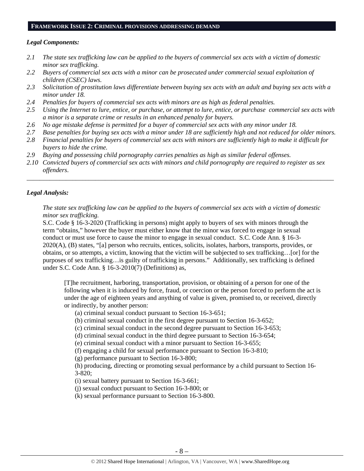# **FRAMEWORK ISSUE 2: CRIMINAL PROVISIONS ADDRESSING DEMAND**

## *Legal Components:*

- *2.1 The state sex trafficking law can be applied to the buyers of commercial sex acts with a victim of domestic minor sex trafficking.*
- *2.2 Buyers of commercial sex acts with a minor can be prosecuted under commercial sexual exploitation of children (CSEC) laws.*
- *2.3 Solicitation of prostitution laws differentiate between buying sex acts with an adult and buying sex acts with a minor under 18.*
- *2.4 Penalties for buyers of commercial sex acts with minors are as high as federal penalties.*
- *2.5 Using the Internet to lure, entice, or purchase, or attempt to lure, entice, or purchase commercial sex acts with a minor is a separate crime or results in an enhanced penalty for buyers.*
- *2.6 No age mistake defense is permitted for a buyer of commercial sex acts with any minor under 18.*
- *2.7 Base penalties for buying sex acts with a minor under 18 are sufficiently high and not reduced for older minors.*
- *2.8 Financial penalties for buyers of commercial sex acts with minors are sufficiently high to make it difficult for buyers to hide the crime.*
- *2.9 Buying and possessing child pornography carries penalties as high as similar federal offenses.*
- *2.10 Convicted buyers of commercial sex acts with minors and child pornography are required to register as sex offenders*.

\_\_\_\_\_\_\_\_\_\_\_\_\_\_\_\_\_\_\_\_\_\_\_\_\_\_\_\_\_\_\_\_\_\_\_\_\_\_\_\_\_\_\_\_\_\_\_\_\_\_\_\_\_\_\_\_\_\_\_\_\_\_\_\_\_\_\_\_\_\_\_\_\_\_\_\_\_\_\_\_\_\_\_\_\_\_\_\_\_\_\_\_\_\_

# *Legal Analysis:*

*The state sex trafficking law can be applied to the buyers of commercial sex acts with a victim of domestic minor sex trafficking.*

S.C. Code § 16-3-2020 (Trafficking in persons) might apply to buyers of sex with minors through the term "obtains," however the buyer must either know that the minor was forced to engage in sexual conduct or must use force to cause the minor to engage in sexual conduct. S.C. Code Ann. § 16-3- 2020(A), (B) states, "[a] person who recruits, entices, solicits, isolates, harbors, transports, provides, or obtains, or so attempts, a victim, knowing that the victim will be subjected to sex trafficking…[or] for the purposes of sex trafficking…is guilty of trafficking in persons." Additionally, sex trafficking is defined under S.C. Code Ann. § 16-3-2010(7) (Definitions) as,

[T]he recruitment, harboring, transportation, provision, or obtaining of a person for one of the following when it is induced by force, fraud, or coercion or the person forced to perform the act is under the age of eighteen years and anything of value is given, promised to, or received, directly or indirectly, by another person:

(a) criminal sexual conduct pursuant to Section 16-3-651;

(b) criminal sexual conduct in the first degree pursuant to Section 16-3-652;

(c) criminal sexual conduct in the second degree pursuant to Section 16-3-653;

(d) criminal sexual conduct in the third degree pursuant to Section 16-3-654;

(e) criminal sexual conduct with a minor pursuant to Section 16-3-655;

(f) engaging a child for sexual performance pursuant to Section 16-3-810;

(g) performance pursuant to Section 16-3-800;

(h) producing, directing or promoting sexual performance by a child pursuant to Section 16- 3-820;

(i) sexual battery pursuant to Section 16-3-661;

(j) sexual conduct pursuant to Section 16-3-800; or

(k) sexual performance pursuant to Section 16-3-800.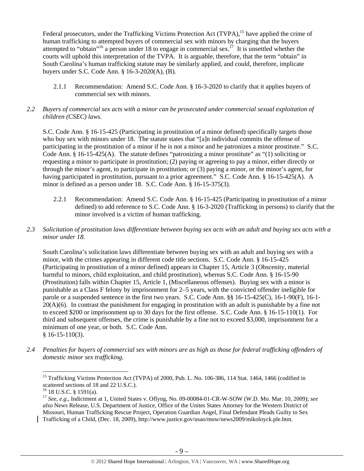Federal prosecutors, under the Trafficking Victims Protection Act (TVPA),<sup>15</sup> have applied the crime of human trafficking to attempted buyers of commercial sex with minors by charging that the buyers attempted to "obtain"<sup>16</sup> a person under 18 to engage in commercial sex.<sup>17</sup> It is unsettled whether the courts will uphold this interpretation of the TVPA. It is arguable, therefore, that the term "obtain" in South Carolina's human trafficking statute may be similarly applied, and could, therefore, implicate buyers under S.C. Code Ann. § 16-3-2020(A), (B).

2.1.1 Recommendation: Amend S.C. Code Ann. § 16-3-2020 to clarify that it applies buyers of commercial sex with minors.

# *2.2 Buyers of commercial sex acts with a minor can be prosecuted under commercial sexual exploitation of children (CSEC) laws.*

S.C. Code Ann. § 16-15-425 (Participating in prostitution of a minor defined) specifically targets those who buy sex with minors under 18. The statute states that "[a]n individual commits the offense of participating in the prostitution of a minor if he is not a minor and he patronizes a minor prostitute." S.C. Code Ann. § 16-15-425(A). The statute defines "patronizing a minor prostitute" as "(1) soliciting or requesting a minor to participate in prostitution; (2) paying or agreeing to pay a minor, either directly or through the minor's agent, to participate in prostitution; or (3) paying a minor, or the minor's agent, for having participated in prostitution, pursuant to a prior agreement." S.C. Code Ann. § 16-15-425(A). A minor is defined as a person under 18. S.C. Code Ann. § 16-15-375(3).

- 2.2.1 Recommendation:Amend S.C. Code Ann. § 16-15-425 (Participating in prostitution of a minor defined) to add reference to S.C. Code Ann. § 16-3-2020 (Trafficking in persons) to clarify that the minor involved is a victim of human trafficking.
- *2.3 Solicitation of prostitution laws differentiate between buying sex acts with an adult and buying sex acts with a minor under 18.*

South Carolina's solicitation laws differentiate between buying sex with an adult and buying sex with a minor, with the crimes appearing in different code title sections. S.C. Code Ann. § 16-15-425 (Participating in prostitution of a minor defined) appears in Chapter 15, Article 3 (Obscenity, material harmful to minors, child exploitation, and child prostitution), whereas S.C. Code Ann. § 16-15-90 (Prostitution) falls within Chapter 15, Article 1, (Miscellaneous offenses). Buying sex with a minor is punishable as a Class F felony by imprisonment for 2–5 years, with the convicted offender ineligible for parole or a suspended sentence in the first two years. S.C. Code Ann. §§ 16-15-425(C), 16-1-90(F), 16-1- 20(A)(6). In contrast the punishment for engaging in prostitution with an adult is punishable by a fine not to exceed \$200 or imprisonment up to 30 days for the first offense. S.C. Code Ann. § 16-15-110(1). For third and subsequent offenses, the crime is punishable by a fine not to exceed \$3,000, imprisonment for a minimum of one year, or both. S.C. Code Ann.  $$16-15-110(3)$ .

*2.4 Penalties for buyers of commercial sex with minors are as high as those for federal trafficking offenders of domestic minor sex trafficking.* 

<sup>&</sup>lt;sup>15</sup> Trafficking Victims Protection Act (TVPA) of 2000, Pub. L. No. 106-386, 114 Stat. 1464, 1466 (codified in scattered sections of 18 and 22 U.S.C.).

 $16$  18 U.S.C. § 1591(a).

<sup>17</sup> *See, e.g*., Indictment at 1, United States v. Oflyng, No. 09-00084-01-CR-W-SOW (W.D. Mo. Mar. 10, 2009); *see also* News Release, U.S. Department of Justice, Office of the Unites States Attorney for the Western District of Missouri, Human Trafficking Rescue Project, Operation Guardian Angel, Final Defendant Pleads Guilty to Sex Trafficking of a Child, (Dec. 18, 2009), http://www.justice.gov/usao/mow/news2009/mikoloyck.ple.htm.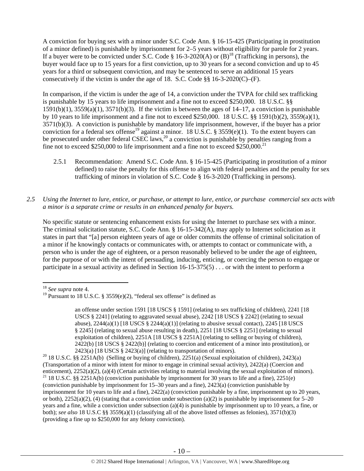A conviction for buying sex with a minor under S.C. Code Ann. § 16-15-425 (Participating in prostitution of a minor defined) is punishable by imprisonment for 2–5 years without eligibility for parole for 2 years. If a buyer were to be convicted under S.C. Code § 16-3-2020(A) or  $(B)^{18}$  (Trafficking in persons), the buyer would face up to 15 years for a first conviction, up to 30 years for a second conviction and up to 45 years for a third or subsequent conviction, and may be sentenced to serve an additional 15 years consecutively if the victim is under the age of 18. S.C. Code  $\S$ § 16-3-2020(C)–(F).

In comparison, if the victim is under the age of 14, a conviction under the TVPA for child sex trafficking is punishable by 15 years to life imprisonment and a fine not to exceed \$250,000. 18 U.S.C. §§  $1591(b)(1)$ ,  $3559(a)(1)$ ,  $3571(b)(3)$ . If the victim is between the ages of  $14-17$ , a conviction is punishable by 10 years to life imprisonment and a fine not to exceed \$250,000. 18 U.S.C. §§ 1591(b)(2), 3559(a)(1), 3571(b)(3). A conviction is punishable by mandatory life imprisonment, however, if the buyer has a prior conviction for a federal sex offense<sup>19</sup> against a minor. 18 U.S.C. § 3559(e)(1). To the extent buyers can be prosecuted under other federal CSEC laws,  $^{20}$  a conviction is punishable by penalties ranging from a fine not to exceed \$250,000 to life imprisonment and a fine not to exceed  $$250,000$ <sup>21</sup>

- 2.5.1 Recommendation: Amend S.C. Code Ann. § 16-15-425 (Participating in prostitution of a minor defined) to raise the penalty for this offense to align with federal penalties and the penalty for sex trafficking of minors in violation of S.C. Code § 16-3-2020 (Trafficking in persons).
- *2.5 Using the Internet to lure, entice, or purchase, or attempt to lure, entice, or purchase commercial sex acts with a minor is a separate crime or results in an enhanced penalty for buyers.*

No specific statute or sentencing enhancement exists for using the Internet to purchase sex with a minor. The criminal solicitation statute, S.C. Code Ann. § 16-15-342(A), may apply to Internet solicitation as it states in part that "[a] person eighteen years of age or older commits the offense of criminal solicitation of a minor if he knowingly contacts or communicates with, or attempts to contact or communicate with, a person who is under the age of eighteen, or a person reasonably believed to be under the age of eighteen, for the purpose of or with the intent of persuading, inducing, enticing, or coercing the person to engage or participate in a sexual activity as defined in Section 16-15-375(5) . . . or with the intent to perform a

<sup>18</sup> *See supra* note 4.

<sup>&</sup>lt;sup>19</sup> Pursuant to 18 U.S.C. § 3559(e)(2), "federal sex offense" is defined as

an offense under section 1591 [18 USCS § 1591] (relating to sex trafficking of children), 2241 [18 USCS § 2241] (relating to aggravated sexual abuse), 2242 [18 USCS § 2242] (relating to sexual abuse),  $2244(a)(1)$  [18 USCS §  $2244(a)(1)$ ] (relating to abusive sexual contact),  $2245$  [18 USCS § 2245] (relating to sexual abuse resulting in death), 2251 [18 USCS § 2251] (relating to sexual exploitation of children), 2251A [18 USCS § 2251A] (relating to selling or buying of children), 2422(b) [18 USCS § 2422(b)] (relating to coercion and enticement of a minor into prostitution), or

<sup>2423(</sup>a) [18 USCS § 2423(a)] (relating to transportation of minors).<br><sup>20</sup> 18 U.S.C. §§ 2251A(b) (Selling or buying of children), 2251(a) (Sexual exploitation of children), 2423(a) (Transportation of a minor with intent for minor to engage in criminal sexual activity),  $2422(a)$  (Coercion and enticement),  $2252(a)(2)$ ,  $(a)(4)$  (Certain activities relating to material involving the sexual exploitation of <sup>21</sup> 18 U.S.C. §§ 2251A(b) (conviction punishable by imprisonment for 30 years to life and a fine), 2251(e) (conviction punishable by imprisonment for 15–30 years and a fine), 2423(a) (conviction punishable by imprisonment for 10 years to life and a fine), 2422(a) (conviction punishable by a fine, imprisonment up to 20 years, or both),  $2252(a)(2)$ , (4) (stating that a conviction under subsection (a)(2) is punishable by imprisonment for 5–20 years and a fine, while a conviction under subsection (a)(4) is punishable by imprisonment up to 10 years, a fine, or both); *see also* 18 U.S.C §§ 3559(a)(1) (classifying all of the above listed offenses as felonies), 3571(b)(3) (providing a fine up to \$250,000 for any felony conviction).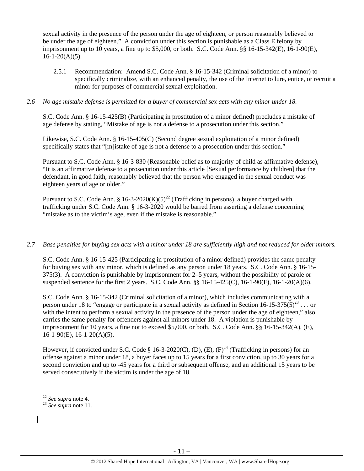sexual activity in the presence of the person under the age of eighteen, or person reasonably believed to be under the age of eighteen." A conviction under this section is punishable as a Class E felony by imprisonment up to 10 years, a fine up to \$5,000, or both. S.C. Code Ann. §§ 16-15-342(E), 16-1-90(E),  $16-1-20(A)(5)$ .

2.5.1 Recommendation: Amend S.C. Code Ann. § 16-15-342 (Criminal solicitation of a minor) to specifically criminalize, with an enhanced penalty, the use of the Internet to lure, entice, or recruit a minor for purposes of commercial sexual exploitation.

#### *2.6 No age mistake defense is permitted for a buyer of commercial sex acts with any minor under 18.*

S.C. Code Ann. § 16-15-425(B) (Participating in prostitution of a minor defined) precludes a mistake of age defense by stating, "Mistake of age is not a defense to a prosecution under this section."

Likewise, S.C. Code Ann. § 16-15-405(C) (Second degree sexual exploitation of a minor defined) specifically states that "[m]istake of age is not a defense to a prosecution under this section."

Pursuant to S.C. Code Ann. § 16-3-830 (Reasonable belief as to majority of child as affirmative defense), "It is an affirmative defense to a prosecution under this article [Sexual performance by children] that the defendant, in good faith, reasonably believed that the person who engaged in the sexual conduct was eighteen years of age or older."

Pursuant to S.C. Code Ann. § 16-3-2020(K)(5)<sup>22</sup> (Trafficking in persons), a buyer charged with trafficking under S.C. Code Ann. § 16-3-2020 would be barred from asserting a defense concerning "mistake as to the victim's age, even if the mistake is reasonable."

#### *2.7 Base penalties for buying sex acts with a minor under 18 are sufficiently high and not reduced for older minors.*

S.C. Code Ann. § 16-15-425 (Participating in prostitution of a minor defined) provides the same penalty for buying sex with any minor, which is defined as any person under 18 years. S.C. Code Ann. § 16-15- 375(3). A conviction is punishable by imprisonment for 2–5 years, without the possibility of parole or suspended sentence for the first 2 years. S.C. Code Ann. §§ 16-15-425(C), 16-1-90(F), 16-1-20(A)(6).

S.C. Code Ann. § 16-15-342 (Criminal solicitation of a minor), which includes communicating with a person under 18 to "engage or participate in a sexual activity as defined in Section 16-15-375(5)<sup>23</sup>... or with the intent to perform a sexual activity in the presence of the person under the age of eighteen," also carries the same penalty for offenders against all minors under 18. A violation is punishable by imprisonment for 10 years, a fine not to exceed \$5,000, or both. S.C. Code Ann. §§ 16-15-342(A), (E),  $16-1-90(E)$ ,  $16-1-20(A)(5)$ .

However, if convicted under S.C. Code § 16-3-2020(C), (D), (E),  $(F)^{24}$  (Trafficking in persons) for an offense against a minor under 18, a buyer faces up to 15 years for a first conviction, up to 30 years for a second conviction and up to -45 years for a third or subsequent offense, and an additional 15 years to be served consecutively if the victim is under the age of 18.

 $22$  See supra note 4.

<sup>&</sup>lt;sup>23</sup> See supra note 11.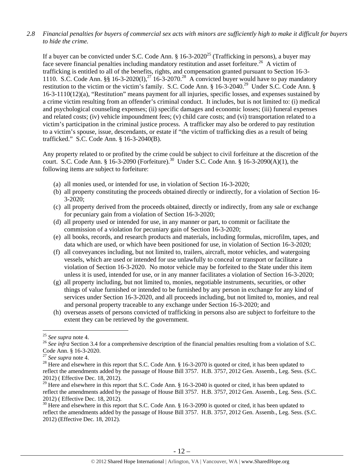## *2.8 Financial penalties for buyers of commercial sex acts with minors are sufficiently high to make it difficult for buyers to hide the crime.*

If a buyer can be convicted under S.C. Code Ann.  $\S 16$ -3-2020<sup>25</sup> (Trafficking in persons), a buyer may face severe financial penalties including mandatory restitution and asset forfeiture.<sup>26</sup> A victim of trafficking is entitled to all of the benefits, rights, and compensation granted pursuant to Section 16-3- 1110. S.C. Code Ann. §§ 16-3-2020(I),<sup>27</sup> 16-3-2070.<sup>28</sup> A convicted buyer would have to pay mandatory restitution to the victim or the victim's family. S.C. Code Ann. § 16-3-2040.<sup>29</sup> Under S.C. Code Ann. § 16-3-1110(12)(a), "Restitution" means payment for all injuries, specific losses, and expenses sustained by a crime victim resulting from an offender's criminal conduct. It includes, but is not limited to: (i) medical and psychological counseling expenses; (ii) specific damages and economic losses; (iii) funeral expenses and related costs; (iv) vehicle impoundment fees; (v) child care costs; and (vi) transportation related to a victim's participation in the criminal justice process. A trafficker may also be ordered to pay restitution to a victim's spouse, issue, descendants, or estate if "the victim of trafficking dies as a result of being trafficked." S.C. Code Ann. § 16-3-2040(B).

Any property related to or profited by the crime could be subject to civil forfeiture at the discretion of the court. S.C. Code Ann. § 16-3-2090 (Forfeiture).<sup>30</sup> Under S.C. Code Ann. § 16-3-2090(A)(1), the following items are subject to forfeiture:

- (a) all monies used, or intended for use, in violation of Section 16-3-2020;
- (b) all property constituting the proceeds obtained directly or indirectly, for a violation of Section 16- 3-2020;
- (c) all property derived from the proceeds obtained, directly or indirectly, from any sale or exchange for pecuniary gain from a violation of Section 16-3-2020;
- (d) all property used or intended for use, in any manner or part, to commit or facilitate the commission of a violation for pecuniary gain of Section 16-3-2020;
- (e) all books, records, and research products and materials, including formulas, microfilm, tapes, and data which are used, or which have been positioned for use, in violation of Section 16-3-2020;
- (f) all conveyances including, but not limited to, trailers, aircraft, motor vehicles, and watergoing vessels, which are used or intended for use unlawfully to conceal or transport or facilitate a violation of Section 16-3-2020. No motor vehicle may be forfeited to the State under this item unless it is used, intended for use, or in any manner facilitates a violation of Section 16-3-2020;
- (g) all property including, but not limited to, monies, negotiable instruments, securities, or other things of value furnished or intended to be furnished by any person in exchange for any kind of services under Section 16-3-2020, and all proceeds including, but not limited to, monies, and real and personal property traceable to any exchange under Section 16-3-2020; and
- (h) overseas assets of persons convicted of trafficking in persons also are subject to forfeiture to the extent they can be retrieved by the government.

<sup>30</sup> Here and elsewhere in this report that S.C. Code Ann. § 16-3-2090 is quoted or cited, it has been updated to reflect the amendments added by the passage of House Bill 3757. H.B. 3757, 2012 Gen. Assemb., Leg. Sess. (S.C. 2012) (Effective Dec. 18, 2012).

<sup>&</sup>lt;sup>25</sup> See supra note 4.

<sup>&</sup>lt;sup>26</sup> See infra Section 3.4 for a comprehensive description of the financial penalties resulting from a violation of S.C. Code Ann. § 16-3-2020.<br><sup>27</sup> See supra note 4.

<sup>&</sup>lt;sup>28</sup> Here and elsewhere in this report that S.C. Code Ann. § 16-3-2070 is quoted or cited, it has been updated to reflect the amendments added by the passage of House Bill 3757. H.B. 3757, 2012 Gen. Assemb., Leg. Sess. (S.C. 2012) ( Effective Dec. 18, 2012).

<sup>&</sup>lt;sup>29</sup> Here and elsewhere in this report that S.C. Code Ann. § 16-3-2040 is quoted or cited, it has been updated to reflect the amendments added by the passage of House Bill 3757. H.B. 3757, 2012 Gen. Assemb., Leg. Sess. (S.C. 2012) ( Effective Dec. 18, 2012).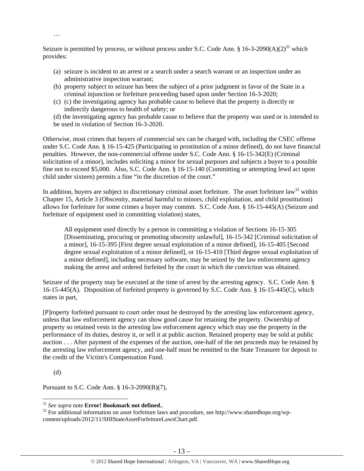Seizure is permitted by process, or without process under S.C. Code Ann. § 16-3-2090(A)(2)<sup>31</sup> which provides:

- (a) seizure is incident to an arrest or a search under a search warrant or an inspection under an administrative inspection warrant;
- (b) property subject to seizure has been the subject of a prior judgment in favor of the State in a criminal injunction or forfeiture proceeding based upon under Section 16-3-2020;
- (c) (c) the investigating agency has probable cause to believe that the property is directly or indirectly dangerous to health of safety; or

(d) the investigating agency has probable cause to believe that the property was used or is intended to be used in violation of Section 16-3-2020.

Otherwise, most crimes that buyers of commercial sex can be charged with, including the CSEC offense under S.C. Code Ann. § 16-15-425 (Participating in prostitution of a minor defined), do not have financial penalties. However, the non-commercial offense under S.C. Code Ann. § 16-15-342(E) (Criminal solicitation of a minor), includes soliciting a minor for sexual purposes and subjects a buyer to a possible fine not to exceed \$5,000. Also, S.C. Code Ann. § 16-15-140 (Committing or attempting lewd act upon child under sixteen) permits a fine "in the discretion of the court."

In addition, buyers are subject to discretionary criminal asset forfeiture. The asset forfeiture law<sup>32</sup> within Chapter 15, Article 3 (Obscenity, material harmful to minors, child exploitation, and child prostitution) allows for forfeiture for some crimes a buyer may commit. S.C. Code Ann. § 16-15-445(A) (Seizure and forfeiture of equipment used in committing violation) states,

All equipment used directly by a person in committing a violation of Sections 16-15-305 [Disseminating, procuring or promoting obscenity unlawful], 16-15-342 [Criminal solicitation of a minor], 16-15-395 [First degree sexual exploitation of a minor defined], 16-15-405 [Second degree sexual exploitation of a minor defined], or 16-15-410 [Third degree sexual exploitation of a minor defined], including necessary software, may be seized by the law enforcement agency making the arrest and ordered forfeited by the court in which the conviction was obtained.

Seizure of the property may be executed at the time of arrest by the arresting agency. S.C. Code Ann. § 16-15-445(A). Disposition of forfeited property is governed by S.C. Code Ann. § 16-15-445(C), which states in part,

[P]roperty forfeited pursuant to court order must be destroyed by the arresting law enforcement agency, unless that law enforcement agency can show good cause for retaining the property. Ownership of property so retained vests in the arresting law enforcement agency which may use the property in the performance of its duties, destroy it, or sell it at public auction. Retained property may be sold at public auction . . . After payment of the expenses of the auction, one-half of the net proceeds may be retained by the arresting law enforcement agency, and one-half must be remitted to the State Treasurer for deposit to the credit of the Victim's Compensation Fund.

(d)

…

Pursuant to S.C. Code Ann. § 16-3-2090(B)(7),

<sup>&</sup>lt;sup>31</sup> See supra note **Error! Bookmark not defined.** 

<sup>&</sup>lt;sup>32</sup> For additional information on asset forfeiture laws and procedure, see http://www.sharedhope.org/wpcontent/uploads/2012/11/SHIStateAssetForfeitureLawsChart.pdf.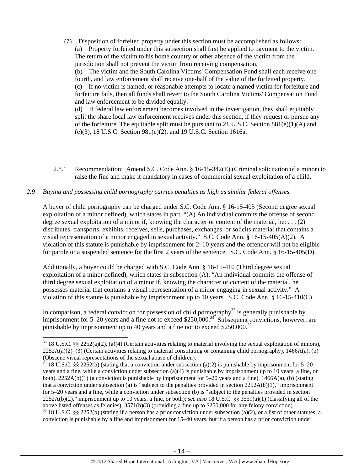(7) Disposition of forfeited property under this section must be accomplished as follows: (a) Property forfeited under this subsection shall first be applied to payment to the victim. The return of the victim to his home country or other absence of the victim from the jurisdiction shall not prevent the victim from receiving compensation.

(b) The victim and the South Carolina Victims' Compensation Fund shall each receive onefourth, and law enforcement shall receive one-half of the value of the forfeited property. (c) If no victim is named, or reasonable attempts to locate a named victim for forfeiture and forfeiture fails, then all funds shall revert to the South Carolina Victims' Compensation Fund and law enforcement to be divided equally.

(d) If federal law enforcement becomes involved in the investigation, they shall equitably split the share local law enforcement receives under this section, if they request or pursue any of the forfeiture. The equitable split must be pursuant to 21 U.S.C. Section  $881(e)(1)(A)$  and (e)(3), 18 U.S.C. Section 981(e)(2), and 19 U.S.C. Section 1616a.

2.8.1 Recommendation: Amend S.C. Code Ann. § 16-15-342(E) (Criminal solicitation of a minor) to raise the fine and make it mandatory in cases of commercial sexual exploitation of a child.

#### *2.9 Buying and possessing child pornography carries penalties as high as similar federal offenses.*

A buyer of child pornography can be charged under S.C. Code Ann. § 16-15-405 (Second degree sexual exploitation of a minor defined), which states in part, "(A) An individual commits the offense of second degree sexual exploitation of a minor if, knowing the character or content of the material, he: . . . (2) distributes, transports, exhibits, receives, sells, purchases, exchanges, or solicits material that contains a visual representation of a minor engaged in sexual activity." S.C. Code Ann. § 16-15-405(A)(2). A violation of this statute is punishable by imprisonment for 2–10 years and the offender will not be eligible for parole or a suspended sentence for the first 2 years of the sentence. S.C. Code Ann. § 16-15-405(D).

Additionally, a buyer could be charged with S.C. Code Ann. § 16-15-410 (Third degree sexual exploitation of a minor defined), which states in subsection (A), "An individual commits the offense of third degree sexual exploitation of a minor if, knowing the character or content of the material, he possesses material that contains a visual representation of a minor engaging in sexual activity." A violation of this statute is punishable by imprisonment up to 10 years. S.C. Code Ann. § 16-15-410(C).

In comparison, a federal conviction for possession of child pornography<sup>33</sup> is generally punishable by imprisonment for  $5-20$  years and a fine not to exceed \$250,000.<sup>34</sup> Subsequent convictions, however, are punishable by imprisonment up to 40 years and a fine not to exceed \$250,000.<sup>35</sup>

 $35$  18 U.S.C. §§ 2252(b) (stating if a person has a prior conviction under subsection (a)(2), or a list of other statutes, a conviction is punishable by a fine and imprisonment for 15–40 years, but if a person has a prior conviction under

 $33$  18 U.S.C. §§ 2252(a)(2), (a)(4) (Certain activities relating to material involving the sexual exploitation of minors),  $2252A(a)(2)$ –(3) (Certain activities relating to material constituting or containing child pornography), 1466A(a), (b) (Obscene visual representations of the sexual abuse of children).

<sup>&</sup>lt;sup>34</sup> 18 U.S.C. §§ 2252(b) (stating that a conviction under subsection (a)(2) is punishable by imprisonment for 5–20 years and a fine, while a conviction under subsection (a)(4) is punishable by imprisonment up to 10 years, a fine, or both),  $2252A(b)(1)$  (a conviction is punishable by imprisonment for 5–20 years and a fine),  $1466A(a)$ , (b) (stating that a conviction under subsection (a) is "subject to the penalties provided in section  $2252A(b)(1)$ ," imprisonment for 5–20 years and a fine, while a conviction under subsection (b) is "subject to the penalties provided in section 2252A(b)(2)," imprisonment up to 10 years, a fine, or both); *see also* 18 U.S.C. §§ 3559(a)(1) (classifying all of the above listed offenses as felonies), 3571(b)(3) (providing a fine up to \$250,000 for any felony conviction).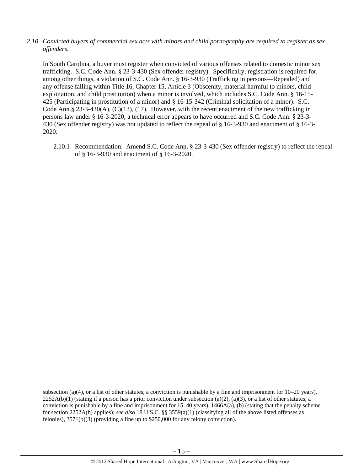*2.10 Convicted buyers of commercial sex acts with minors and child pornography are required to register as sex offenders*.

In South Carolina, a buyer must register when convicted of various offenses related to domestic minor sex trafficking. S.C. Code Ann. § 23-3-430 (Sex offender registry). Specifically, registration is required for, among other things, a violation of S.C. Code Ann. § 16-3-930 (Trafficking in persons—Repealed) and any offense falling within Title 16, Chapter 15, Article 3 (Obscenity, material harmful to minors, child exploitation, and child prostitution) when a minor is involved, which includes S.C. Code Ann. § 16-15- 425 (Participating in prostitution of a minor) and § 16-15-342 (Criminal solicitation of a minor). S.C. Code Ann.§ 23-3-430(A), (C)(13), (17). However, with the recent enactment of the new trafficking in persons law under § 16-3-2020, a technical error appears to have occurred and S.C. Code Ann. § 23-3- 430 (Sex offender registry) was not updated to reflect the repeal of § 16-3-930 and enactment of § 16-3- 2020.

2.10.1 Recommendation: Amend S.C. Code Ann. § 23-3-430 (Sex offender registry) to reflect the repeal of § 16-3-930 and enactment of § 16-3-2020.

<u> Andrewski politika (za obrazu pod predsjednika u predsjednika u predsjednika u predsjednika (za obrazu pod p</u>

subsection (a)(4), or a list of other statutes, a conviction is punishable by a fine and imprisonment for 10–20 years),  $2252A(b)(1)$  (stating if a person has a prior conviction under subsection (a)(2), (a)(3), or a list of other statutes, a conviction is punishable by a fine and imprisonment for 15–40 years), 1466A(a), (b) (stating that the penalty scheme for section 2252A(b) applies); *see also* 18 U.S.C. §§ 3559(a)(1) (classifying all of the above listed offenses as felonies), 3571(b)(3) (providing a fine up to \$250,000 for any felony conviction).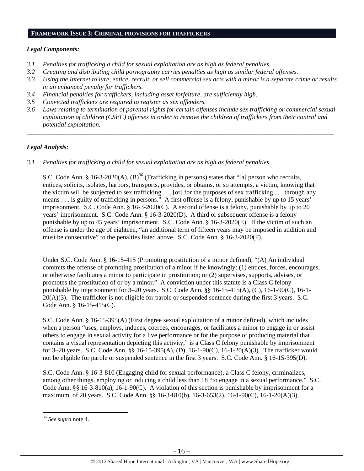#### **FRAMEWORK ISSUE 3: CRIMINAL PROVISIONS FOR TRAFFICKERS**

# *Legal Components:*

- *3.1 Penalties for trafficking a child for sexual exploitation are as high as federal penalties.*
- *3.2 Creating and distributing child pornography carries penalties as high as similar federal offenses.*
- *3.3 Using the Internet to lure, entice, recruit, or sell commercial sex acts with a minor is a separate crime or results in an enhanced penalty for traffickers.*
- *3.4 Financial penalties for traffickers, including asset forfeiture, are sufficiently high.*
- *3.5 Convicted traffickers are required to register as sex offenders.*
- *3.6 Laws relating to termination of parental rights for certain offenses include sex trafficking or commercial sexual exploitation of children (CSEC) offenses in order to remove the children of traffickers from their control and potential exploitation.*

*\_\_\_\_\_\_\_\_\_\_\_\_\_\_\_\_\_\_\_\_\_\_\_\_\_\_\_\_\_\_\_\_\_\_\_\_\_\_\_\_\_\_\_\_\_\_\_\_\_\_\_\_\_\_\_\_\_\_\_\_\_\_\_\_\_\_\_\_\_\_\_\_\_\_\_\_\_\_\_\_\_\_\_\_\_\_\_\_\_\_\_\_\_\_* 

# *Legal Analysis:*

*3.1 Penalties for trafficking a child for sexual exploitation are as high as federal penalties.* 

S.C. Code Ann. § 16-3-2020(A),  $(B)^{36}$  (Trafficking in persons) states that "[a] person who recruits, entices, solicits, isolates, harbors, transports, provides, or obtains, or so attempts, a victim, knowing that the victim will be subjected to sex trafficking . . . [or] for the purposes of sex trafficking . . . through any means . . . is guilty of trafficking in persons." A first offense is a felony, punishable by up to 15 years' imprisonment. S.C. Code Ann. § 16-3-2020(C). A second offense is a felony, punishable by up to 20 years' imprisonment. S.C. Code Ann. § 16-3-2020(D). A third or subsequent offense is a felony punishable by up to 45 years' imprisonment. S.C. Code Ann. § 16-3-2020(E). If the victim of such an offense is under the age of eighteen, "an additional term of fifteen years may be imposed in addition and must be consecutive" to the penalties listed above. S.C. Code Ann. § 16-3-2020(F).

Under S.C. Code Ann. § 16-15-415 (Promoting prostitution of a minor defined), "(A) An individual commits the offense of promoting prostitution of a minor if he knowingly: (1) entices, forces, encourages, or otherwise facilitates a minor to participate in prostitution; or (2) supervises, supports, advises, or promotes the prostitution of or by a minor." A conviction under this statute is a Class C felony punishable by imprisonment for 3–20 years. S.C. Code Ann. §§ 16-15-415(A), (C), 16-1-90(C), 16-1- 20(A)(3). The trafficker is not eligible for parole or suspended sentence during the first 3 years. S.C. Code Ann. § 16-15-415(C).

S.C. Code Ann. § 16-15-395(A) (First degree sexual exploitation of a minor defined), which includes when a person "uses, employs, induces, coerces, encourages, or facilitates a minor to engage in or assist others to engage in sexual activity for a live performance or for the purpose of producing material that contains a visual representation depicting this activity," is a Class C felony punishable by imprisonment for 3–20 years. S.C. Code Ann. §§ 16-15-395(A), (D), 16-1-90(C), 16-1-20(A)(3). The trafficker would not be eligible for parole or suspended sentence in the first 3 years. S.C. Code Ann. § 16-15-395(D).

S.C. Code Ann. § 16-3-810 (Engaging child for sexual performance), a Class C felony, criminalizes, among other things, employing or inducing a child less than 18 "to engage in a sexual performance." S.C. Code Ann. §§ 16-3-810(a), 16-1-90(C). A violation of this section is punishable by imprisonment for a maximum of 20 years. S.C. Code Ann. §§ 16-3-810(b), 16-3-653(2), 16-1-90(C), 16-1-20(A)(3).

<sup>36</sup> *See supra* note 4.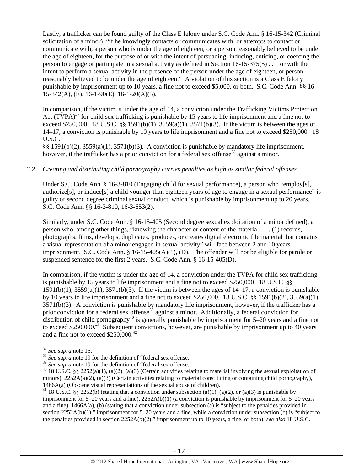Lastly, a trafficker can be found guilty of the Class E felony under S.C. Code Ann. § 16-15-342 (Criminal solicitation of a minor), "if he knowingly contacts or communicates with, or attempts to contact or communicate with, a person who is under the age of eighteen, or a person reasonably believed to be under the age of eighteen, for the purpose of or with the intent of persuading, inducing, enticing, or coercing the person to engage or participate in a sexual activity as defined in Section 16-15-375(5) . . . or with the intent to perform a sexual activity in the presence of the person under the age of eighteen, or person reasonably believed to be under the age of eighteen." A violation of this section is a Class E felony punishable by imprisonment up to 10 years, a fine not to exceed \$5,000, or both. S.C. Code Ann. §§ 16- 15-342(A), (E), 16-1-90(E), 16-1-20(A)(5).

In comparison, if the victim is under the age of 14, a conviction under the Trafficking Victims Protection Act  $(TVPA)^{37}$  for child sex trafficking is punishable by 15 years to life imprisonment and a fine not to exceed \$250,000. 18 U.S.C. §§ 1591(b)(1),  $3559(a)(1)$ ,  $3571(b)(3)$ . If the victim is between the ages of 14–17, a conviction is punishable by 10 years to life imprisonment and a fine not to exceed \$250,000. 18 U.S.C.

§§ 1591(b)(2), 3559(a)(1), 3571(b)(3). A conviction is punishable by mandatory life imprisonment, however, if the trafficker has a prior conviction for a federal sex offense<sup>38</sup> against a minor.

#### *3.2 Creating and distributing child pornography carries penalties as high as similar federal offenses*.

Under S.C. Code Ann. § 16-3-810 (Engaging child for sexual performance), a person who "employ[s], authorize[s], or induce[s] a child younger than eighteen years of age to engage in a sexual performance" is guilty of second degree criminal sexual conduct, which is punishable by imprisonment up to 20 years. S.C. Code Ann. §§ 16-3-810, 16-3-653(2).

Similarly, under S.C. Code Ann. § 16-15-405 (Second degree sexual exploitation of a minor defined), a person who, among other things, "knowing the character or content of the material, . . . (1) records, photographs, films, develops, duplicates, produces, or creates digital electronic file material that contains a visual representation of a minor engaged in sexual activity" will face between 2 and 10 years imprisonment. S.C. Code Ann. § 16-15-405(A)(1), (D). The offender will not be eligible for parole or suspended sentence for the first 2 years. S.C. Code Ann. § 16-15-405(D).

In comparison, if the victim is under the age of 14, a conviction under the TVPA for child sex trafficking is punishable by 15 years to life imprisonment and a fine not to exceed \$250,000. 18 U.S.C. §§  $1591(b)(1)$ ,  $3559(a)(1)$ ,  $3571(b)(3)$ . If the victim is between the ages of  $14-17$ , a conviction is punishable by 10 years to life imprisonment and a fine not to exceed \$250,000. 18 U.S.C. §§ 1591(b)(2), 3559(a)(1), 3571(b)(3). A conviction is punishable by mandatory life imprisonment, however, if the trafficker has a prior conviction for a federal sex offense<sup>39</sup> against a minor. Additionally, a federal conviction for distribution of child pornography<sup>40</sup> is generally punishable by imprisonment for  $5-20$  years and a fine not to exceed \$250,000.<sup> $\overline{41}$ </sup> Subsequent convictions, however, are punishable by imprisonment up to 40 years and a fine not to exceed \$250,000.<sup>42</sup>

<sup>&</sup>lt;sup>37</sup> *See supra* note 15.<br><sup>38</sup> *See supra* note 19 for the definition of "federal sex offense."<br><sup>39</sup> *See supra* note 19 for the definition of "federal sex offense."

<sup>&</sup>lt;sup>40</sup> 18 U.S.C. §§ 2252(a)(1), (a)(2), (a)(3) (Certain activities relating to material involving the sexual exploitation of minors),  $2252A(a)(2)$ ,  $(a)(3)$  (Certain activities relating to material constituting or containing child pornography), 1466A(a) (Obscene visual representations of the sexual abuse of children).<br><sup>41</sup> 18 U.S.C. §§ 2252(b) (stating that a conviction under subsection (a)(1), (a)(2), or (a)(3) is punishable by

imprisonment for 5–20 years and a fine), 2252A(b)(1) (a conviction is punishable by imprisonment for 5–20 years and a fine), 1466A(a), (b) (stating that a conviction under subsection (a) is "subject to the penalties provided in section 2252A(b)(1)," imprisonment for 5–20 years and a fine, while a conviction under subsection (b) is "subject to the penalties provided in section 2252A(b)(2)," imprisonment up to 10 years, a fine, or both); *see also* 18 U.S.C.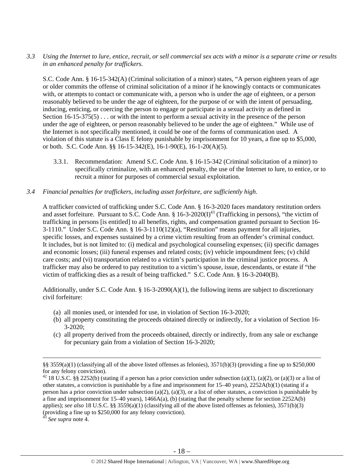*3.3 Using the Internet to lure, entice, recruit, or sell commercial sex acts with a minor is a separate crime or results in an enhanced penalty for traffickers.* 

S.C. Code Ann. § 16-15-342(A) (Criminal solicitation of a minor) states, "A person eighteen years of age or older commits the offense of criminal solicitation of a minor if he knowingly contacts or communicates with, or attempts to contact or communicate with, a person who is under the age of eighteen, or a person reasonably believed to be under the age of eighteen, for the purpose of or with the intent of persuading, inducing, enticing, or coercing the person to engage or participate in a sexual activity as defined in Section 16-15-375(5) . . . or with the intent to perform a sexual activity in the presence of the person under the age of eighteen, or person reasonably believed to be under the age of eighteen." While use of the Internet is not specifically mentioned, it could be one of the forms of communication used. A violation of this statute is a Class E felony punishable by imprisonment for 10 years, a fine up to \$5,000, or both. S.C. Code Ann. §§ 16-15-342(E), 16-1-90(E), 16-1-20(A)(5).

- 3.3.1. Recommendation: Amend S.C. Code Ann. § 16-15-342 (Criminal solicitation of a minor) to specifically criminalize, with an enhanced penalty, the use of the Internet to lure, to entice, or to recruit a minor for purposes of commercial sexual exploitation.
- *3.4 Financial penalties for traffickers, including asset forfeiture, are sufficiently high*.

A trafficker convicted of trafficking under S.C. Code Ann. § 16-3-2020 faces mandatory restitution orders and asset forfeiture. Pursuant to S.C. Code Ann.  $\S$  16-3-2020(I)<sup>43</sup> (Trafficking in persons), "the victim of trafficking in persons [is entitled] to all benefits, rights, and compensation granted pursuant to Section 16- 3-1110." Under S.C. Code Ann. § 16-3-1110(12)(a), "Restitution" means payment for all injuries, specific losses, and expenses sustained by a crime victim resulting from an offender's criminal conduct. It includes, but is not limited to: (i) medical and psychological counseling expenses; (ii) specific damages and economic losses; (iii) funeral expenses and related costs; (iv) vehicle impoundment fees; (v) child care costs; and (vi) transportation related to a victim's participation in the criminal justice process. A trafficker may also be ordered to pay restitution to a victim's spouse, issue, descendants, or estate if "the victim of trafficking dies as a result of being trafficked." S.C. Code Ann. § 16-3-2040(B).

Additionally, under S.C. Code Ann. § 16-3-2090(A)(1), the following items are subject to discretionary civil forfeiture:

- (a) all monies used, or intended for use, in violation of Section 16-3-2020;
- (b) all property constituting the proceeds obtained directly or indirectly, for a violation of Section 16- 3-2020;
- (c) all property derived from the proceeds obtained, directly or indirectly, from any sale or exchange for pecuniary gain from a violation of Section 16-3-2020;

<u> 1989 - Johann Stein, marwolaethau a gweledydd a ganlad y ganlad y ganlad y ganlad y ganlad y ganlad y ganlad</u>

<sup>§§ 3559(</sup>a)(1) (classifying all of the above listed offenses as felonies),  $3571(b)(3)$  (providing a fine up to \$250,000 for any felony conviction).

<sup>&</sup>lt;sup>42</sup> 18 U.S.C. §§ 2252(b) (stating if a person has a prior conviction under subsection (a)(1), (a)(2), or (a)(3) or a list of other statutes, a conviction is punishable by a fine and imprisonment for 15–40 years), 2252A(b)(1) (stating if a person has a prior conviction under subsection (a)(2), (a)(3), or a list of other statutes, a conviction is punishable by a fine and imprisonment for 15–40 years), 1466A(a), (b) (stating that the penalty scheme for section 2252A(b) applies); *see also* 18 U.S.C. §§ 3559(a)(1) (classifying all of the above listed offenses as felonies), 3571(b)(3) (providing a fine up to \$250,000 for any felony conviction).

<sup>43</sup> *See supra* note 4.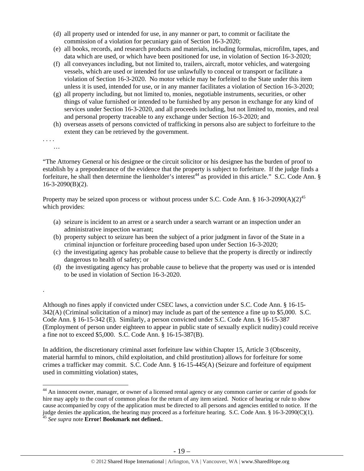- (d) all property used or intended for use, in any manner or part, to commit or facilitate the commission of a violation for pecuniary gain of Section 16-3-2020;
- (e) all books, records, and research products and materials, including formulas, microfilm, tapes, and data which are used, or which have been positioned for use, in violation of Section 16-3-2020;
- (f) all conveyances including, but not limited to, trailers, aircraft, motor vehicles, and watergoing vessels, which are used or intended for use unlawfully to conceal or transport or facilitate a violation of Section 16-3-2020. No motor vehicle may be forfeited to the State under this item unless it is used, intended for use, or in any manner facilitates a violation of Section 16-3-2020;
- (g) all property including, but not limited to, monies, negotiable instruments, securities, or other things of value furnished or intended to be furnished by any person in exchange for any kind of services under Section 16-3-2020, and all proceeds including, but not limited to, monies, and real and personal property traceable to any exchange under Section 16-3-2020; and
- (h) overseas assets of persons convicted of trafficking in persons also are subject to forfeiture to the extent they can be retrieved by the government.
- . . . .

…

.

"The Attorney General or his designee or the circuit solicitor or his designee has the burden of proof to establish by a preponderance of the evidence that the property is subject to forfeiture. If the judge finds a forfeiture, he shall then determine the lienholder's interest<sup>44</sup> as provided in this article." S.C. Code Ann. §  $16-3-2090(B)(2)$ .

Property may be seized upon process or without process under S.C. Code Ann. § 16-3-2090(A)(2)<sup>45</sup> which provides:

- (a) seizure is incident to an arrest or a search under a search warrant or an inspection under an administrative inspection warrant;
- (b) property subject to seizure has been the subject of a prior judgment in favor of the State in a criminal injunction or forfeiture proceeding based upon under Section 16-3-2020;
- (c) the investigating agency has probable cause to believe that the property is directly or indirectly dangerous to health of safety; or
- (d) the investigating agency has probable cause to believe that the property was used or is intended to be used in violation of Section 16-3-2020.

Although no fines apply if convicted under CSEC laws, a conviction under S.C. Code Ann. § 16-15- 342(A) (Criminal solicitation of a minor) may include as part of the sentence a fine up to \$5,000. S.C. Code Ann. § 16-15-342 (E). Similarly, a person convicted under S.C. Code Ann. § 16-15-387 (Employment of person under eighteen to appear in public state of sexually explicit nudity) could receive a fine not to exceed \$5,000. S.C. Code Ann. § 16-15-387(B).

In addition, the discretionary criminal asset forfeiture law within Chapter 15, Article 3 (Obscenity, material harmful to minors, child exploitation, and child prostitution) allows for forfeiture for some crimes a trafficker may commit. S.C. Code Ann. § 16-15-445(A) (Seizure and forfeiture of equipment used in committing violation) states,

 <sup>44</sup> An innocent owner, manager, or owner of a licensed rental agency or any common carrier or carrier of goods for hire may apply to the court of common pleas for the return of any item seized. Notice of hearing or rule to show cause accompanied by copy of the application must be directed to all persons and agencies entitled to notice. If the judge denies the application, the hearing may proceed as a forfeiture hearing. S.C. Code Ann. § 16-3-2090(C)(1). 45 *See supra* note **Error! Bookmark not defined.**.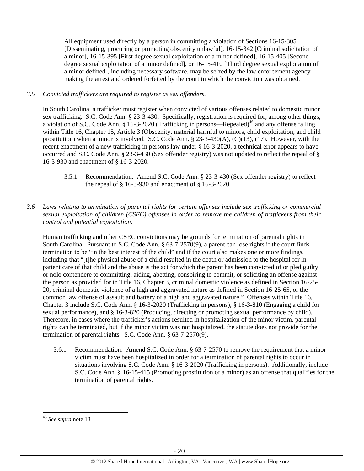All equipment used directly by a person in committing a violation of Sections 16-15-305 [Disseminating, procuring or promoting obscenity unlawful], 16-15-342 [Criminal solicitation of a minor], 16-15-395 [First degree sexual exploitation of a minor defined], 16-15-405 [Second degree sexual exploitation of a minor defined], or 16-15-410 [Third degree sexual exploitation of a minor defined], including necessary software, may be seized by the law enforcement agency making the arrest and ordered forfeited by the court in which the conviction was obtained.

## *3.5 Convicted traffickers are required to register as sex offenders.*

In South Carolina, a trafficker must register when convicted of various offenses related to domestic minor sex trafficking. S.C. Code Ann. § 23-3-430. Specifically, registration is required for, among other things, a violation of S.C. Code Ann.  $\S$  16-3-2020 (Trafficking in persons—Repealed)<sup>46</sup> and any offense falling within Title 16, Chapter 15, Article 3 (Obscenity, material harmful to minors, child exploitation, and child prostitution) when a minor is involved. S.C. Code Ann. § 23-3-430(A), (C)(13), (17). However, with the recent enactment of a new trafficking in persons law under § 16-3-2020, a technical error appears to have occurred and S.C. Code Ann. § 23-3-430 (Sex offender registry) was not updated to reflect the repeal of § 16-3-930 and enactment of § 16-3-2020.

- 3.5.1 Recommendation: Amend S.C. Code Ann. § 23-3-430 (Sex offender registry) to reflect the repeal of § 16-3-930 and enactment of § 16-3-2020.
- *3.6 Laws relating to termination of parental rights for certain offenses include sex trafficking or commercial sexual exploitation of children (CSEC) offenses in order to remove the children of traffickers from their control and potential exploitation.*

Human trafficking and other CSEC convictions may be grounds for termination of parental rights in South Carolina. Pursuant to S.C. Code Ann. § 63-7-2570(9), a parent can lose rights if the court finds termination to be "in the best interest of the child" and if the court also makes one or more findings, including that "[t]he physical abuse of a child resulted in the death or admission to the hospital for inpatient care of that child and the abuse is the act for which the parent has been convicted of or pled guilty or nolo contendere to committing, aiding, abetting, conspiring to commit, or soliciting an offense against the person as provided for in Title 16, Chapter 3, criminal domestic violence as defined in Section 16-25- 20, criminal domestic violence of a high and aggravated nature as defined in Section 16-25-65, or the common law offense of assault and battery of a high and aggravated nature." Offenses within Title 16, Chapter 3 include S.C. Code Ann. § 16-3-2020 (Trafficking in persons), § 16-3-810 (Engaging a child for sexual performance), and § 16-3-820 (Producing, directing or promoting sexual performance by child). Therefore, in cases where the trafficker's actions resulted in hospitalization of the minor victim, parental rights can be terminated, but if the minor victim was not hospitalized, the statute does not provide for the termination of parental rights. S.C. Code Ann. § 63-7-2570(9).

3.6.1 Recommendation: Amend S.C. Code Ann. § 63-7-2570 to remove the requirement that a minor victim must have been hospitalized in order for a termination of parental rights to occur in situations involving S.C. Code Ann. § 16-3-2020 (Trafficking in persons). Additionally, include S.C. Code Ann. § 16-15-415 (Promoting prostitution of a minor) as an offense that qualifies for the termination of parental rights.

 <sup>46</sup> *See supra* note 13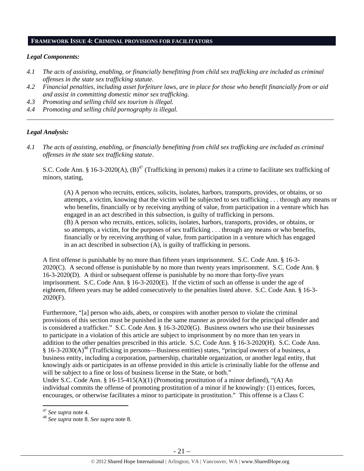# **FRAMEWORK ISSUE 4: CRIMINAL PROVISIONS FOR FACILITATORS**

## *Legal Components:*

- *4.1 The acts of assisting, enabling, or financially benefitting from child sex trafficking are included as criminal offenses in the state sex trafficking statute.*
- *4.2 Financial penalties, including asset forfeiture laws, are in place for those who benefit financially from or aid and assist in committing domestic minor sex trafficking.*

*\_\_\_\_\_\_\_\_\_\_\_\_\_\_\_\_\_\_\_\_\_\_\_\_\_\_\_\_\_\_\_\_\_\_\_\_\_\_\_\_\_\_\_\_\_\_\_\_\_\_\_\_\_\_\_\_\_\_\_\_\_\_\_\_\_\_\_\_\_\_\_\_\_\_\_\_\_\_\_\_\_\_\_\_\_\_\_\_\_\_\_\_\_\_* 

- *4.3 Promoting and selling child sex tourism is illegal.*
- *4.4 Promoting and selling child pornography is illegal.*

## *Legal Analysis:*

*4.1 The acts of assisting, enabling, or financially benefitting from child sex trafficking are included as criminal offenses in the state sex trafficking statute*.

S.C. Code Ann. § 16-3-2020(A),  $(B)^{47}$  (Trafficking in persons) makes it a crime to facilitate sex trafficking of minors, stating,

(A) A person who recruits, entices, solicits, isolates, harbors, transports, provides, or obtains, or so attempts, a victim, knowing that the victim will be subjected to sex trafficking . . . through any means or who benefits, financially or by receiving anything of value, from participation in a venture which has engaged in an act described in this subsection, is guilty of trafficking in persons. (B) A person who recruits, entices, solicits, isolates, harbors, transports, provides, or obtains, or so attempts, a victim, for the purposes of sex trafficking . . . through any means or who benefits, financially or by receiving anything of value, from participation in a venture which has engaged in an act described in subsection (A), is guilty of trafficking in persons.

A first offense is punishable by no more than fifteen years imprisonment. S.C. Code Ann. § 16-3- 2020(C). A second offense is punishable by no more than twenty years imprisonment. S.C. Code Ann. § 16-3-2020(D). A third or subsequent offense is punishable by no more than forty-five years imprisonment. S.C. Code Ann. § 16-3-2020(E). If the victim of such an offense is under the age of eighteen, fifteen years may be added consecutively to the penalties listed above. S.C. Code Ann. § 16-3- 2020(F).

Furthermore, "[a] person who aids, abets, or conspires with another person to violate the criminal provisions of this section must be punished in the same manner as provided for the principal offender and is considered a trafficker." S.C. Code Ann. § 16-3-2020(G). Business owners who use their businesses to participate in a violation of this article are subject to imprisonment by no more than ten years in addition to the other penalties prescribed in this article. S.C. Code Ann. § 16-3-2020(H). S.C. Code Ann.  $§$  16-3-2030(A)<sup>48</sup> (Trafficking in persons—Business entities) states, "principal owners of a business, a business entity, including a corporation, partnership, charitable organization, or another legal entity, that knowingly aids or participates in an offense provided in this article is criminally liable for the offense and will be subject to a fine or loss of business license in the State, or both."

Under S.C. Code Ann. §  $16-15-415(A)(1)$  (Promoting prostitution of a minor defined), "(A) An individual commits the offense of promoting prostitution of a minor if he knowingly: (1) entices, forces, encourages, or otherwise facilitates a minor to participate in prostitution." This offense is a Class C

<sup>47</sup> *See supra* note 4. 48 *See supra* note 8. *See supra* note 8.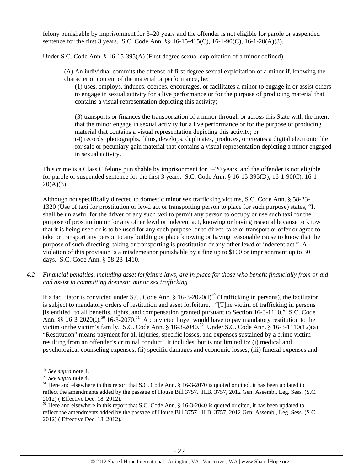felony punishable by imprisonment for 3–20 years and the offender is not eligible for parole or suspended sentence for the first 3 years. S.C. Code Ann. §§ 16-15-415(C), 16-1-90(C), 16-1-20(A)(3).

Under S.C. Code Ann. § 16-15-395(A) (First degree sexual exploitation of a minor defined),

(A) An individual commits the offense of first degree sexual exploitation of a minor if, knowing the character or content of the material or performance, he:

(1) uses, employs, induces, coerces, encourages, or facilitates a minor to engage in or assist others to engage in sexual activity for a live performance or for the purpose of producing material that contains a visual representation depicting this activity;

. . .

(3) transports or finances the transportation of a minor through or across this State with the intent that the minor engage in sexual activity for a live performance or for the purpose of producing material that contains a visual representation depicting this activity; or

(4) records, photographs, films, develops, duplicates, produces, or creates a digital electronic file for sale or pecuniary gain material that contains a visual representation depicting a minor engaged in sexual activity.

This crime is a Class C felony punishable by imprisonment for 3–20 years, and the offender is not eligible for parole or suspended sentence for the first 3 years. S.C. Code Ann. § 16-15-395(D), 16-1-90(C), 16-1-  $20(A)(3)$ .

Although not specifically directed to domestic minor sex trafficking victims, S.C. Code Ann. § 58-23- 1320 (Use of taxi for prostitution or lewd act or transporting person to place for such purpose) states, "It shall be unlawful for the driver of any such taxi to permit any person to occupy or use such taxi for the purpose of prostitution or for any other lewd or indecent act, knowing or having reasonable cause to know that it is being used or is to be used for any such purpose, or to direct, take or transport or offer or agree to take or transport any person to any building or place knowing or having reasonable cause to know that the purpose of such directing, taking or transporting is prostitution or any other lewd or indecent act." A violation of this provision is a misdemeanor punishable by a fine up to \$100 or imprisonment up to 30 days. S.C. Code Ann. § 58-23-1410.

*4.2 Financial penalties, including asset forfeiture laws, are in place for those who benefit financially from or aid and assist in committing domestic minor sex trafficking.* 

If a facilitator is convicted under S.C. Code Ann.  $\S 16-3-2020(I)^{49}$  (Trafficking in persons), the facilitator is subject to mandatory orders of restitution and asset forfeiture. "[T]he victim of trafficking in persons [is entitled] to all benefits, rights, and compensation granted pursuant to Section 16-3-1110." S.C. Code Ann. §§ 16-3-2020(I),<sup>50</sup> 16-3-2070.<sup>51</sup> A convicted buyer would have to pay mandatory restitution to the victim or the victim's family. S.C. Code Ann.  $\S$  16-3-2040.<sup>52</sup> Under S.C. Code Ann.  $\S$  16-3-1110(12)(a), "Restitution" means payment for all injuries, specific losses, and expenses sustained by a crime victim resulting from an offender's criminal conduct. It includes, but is not limited to: (i) medical and psychological counseling expenses; (ii) specific damages and economic losses; (iii) funeral expenses and

<sup>&</sup>lt;sup>49</sup> *See supra* note 4.<br><sup>50</sup> *See supra* note 4.<br><sup>51</sup> Here and elsewhere in this report that S.C. Code Ann. § 16-3-2070 is quoted or cited, it has been updated to reflect the amendments added by the passage of House Bill 3757. H.B. 3757, 2012 Gen. Assemb., Leg. Sess. (S.C. 2012) ( Effective Dec. 18, 2012).

 $52$  Here and elsewhere in this report that S.C. Code Ann. § 16-3-2040 is quoted or cited, it has been updated to reflect the amendments added by the passage of House Bill 3757. H.B. 3757, 2012 Gen. Assemb., Leg. Sess. (S.C. 2012) ( Effective Dec. 18, 2012).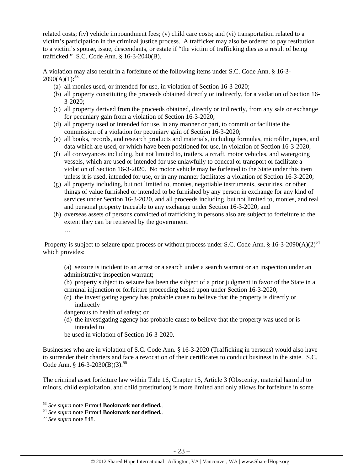related costs; (iv) vehicle impoundment fees; (v) child care costs; and (vi) transportation related to a victim's participation in the criminal justice process. A trafficker may also be ordered to pay restitution to a victim's spouse, issue, descendants, or estate if "the victim of trafficking dies as a result of being trafficked." S.C. Code Ann. § 16-3-2040(B).

A violation may also result in a forfeiture of the following items under S.C. Code Ann. § 16-3-  $2090(A)(1):^{53}$ 

- (a) all monies used, or intended for use, in violation of Section 16-3-2020;
- (b) all property constituting the proceeds obtained directly or indirectly, for a violation of Section 16- 3-2020;
- (c) all property derived from the proceeds obtained, directly or indirectly, from any sale or exchange for pecuniary gain from a violation of Section 16-3-2020;
- (d) all property used or intended for use, in any manner or part, to commit or facilitate the commission of a violation for pecuniary gain of Section 16-3-2020;
- (e) all books, records, and research products and materials, including formulas, microfilm, tapes, and data which are used, or which have been positioned for use, in violation of Section 16-3-2020;
- (f) all conveyances including, but not limited to, trailers, aircraft, motor vehicles, and watergoing vessels, which are used or intended for use unlawfully to conceal or transport or facilitate a violation of Section 16-3-2020. No motor vehicle may be forfeited to the State under this item unless it is used, intended for use, or in any manner facilitates a violation of Section 16-3-2020;
- (g) all property including, but not limited to, monies, negotiable instruments, securities, or other things of value furnished or intended to be furnished by any person in exchange for any kind of services under Section 16-3-2020, and all proceeds including, but not limited to, monies, and real and personal property traceable to any exchange under Section 16-3-2020; and
- (h) overseas assets of persons convicted of trafficking in persons also are subject to forfeiture to the extent they can be retrieved by the government. …

Property is subject to seizure upon process or without process under S.C. Code Ann. § 16-3-2090(A)(2)<sup>54</sup> which provides:

(a) seizure is incident to an arrest or a search under a search warrant or an inspection under an administrative inspection warrant;

(b) property subject to seizure has been the subject of a prior judgment in favor of the State in a criminal injunction or forfeiture proceeding based upon under Section 16-3-2020;

(c) the investigating agency has probable cause to believe that the property is directly or indirectly

dangerous to health of safety; or

(d) the investigating agency has probable cause to believe that the property was used or is intended to

be used in violation of Section 16-3-2020.

Businesses who are in violation of S.C. Code Ann. § 16-3-2020 (Trafficking in persons) would also have to surrender their charters and face a revocation of their certificates to conduct business in the state. S.C. Code Ann. § 16-3-2030(B)(3).<sup>55</sup>

The criminal asset forfeiture law within Title 16, Chapter 15, Article 3 (Obscenity, material harmful to minors, child exploitation, and child prostitution) is more limited and only allows for forfeiture in some

<sup>&</sup>lt;sup>53</sup> See supra note **Error! Bookmark not defined.** 

<sup>53</sup> *See supra* note **Error! Bookmark not defined.**. 54 *See supra* note **Error! Bookmark not defined.**. 55 *See supra* note 848.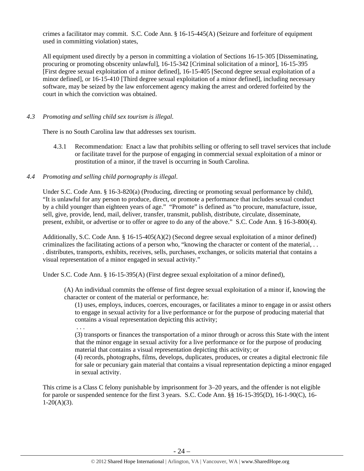crimes a facilitator may commit. S.C. Code Ann. § 16-15-445(A) (Seizure and forfeiture of equipment used in committing violation) states,

All equipment used directly by a person in committing a violation of Sections 16-15-305 [Disseminating, procuring or promoting obscenity unlawful], 16-15-342 [Criminal solicitation of a minor], 16-15-395 [First degree sexual exploitation of a minor defined], 16-15-405 [Second degree sexual exploitation of a minor defined], or 16-15-410 [Third degree sexual exploitation of a minor defined], including necessary software, may be seized by the law enforcement agency making the arrest and ordered forfeited by the court in which the conviction was obtained.

#### *4.3 Promoting and selling child sex tourism is illegal*.

There is no South Carolina law that addresses sex tourism.

4.3.1 Recommendation: Enact a law that prohibits selling or offering to sell travel services that include or facilitate travel for the purpose of engaging in commercial sexual exploitation of a minor or prostitution of a minor, if the travel is occurring in South Carolina.

## *4.4 Promoting and selling child pornography is illegal*.

Under S.C. Code Ann. § 16-3-820(a) (Producing, directing or promoting sexual performance by child), "It is unlawful for any person to produce, direct, or promote a performance that includes sexual conduct by a child younger than eighteen years of age." "Promote" is defined as "to procure, manufacture, issue, sell, give, provide, lend, mail, deliver, transfer, transmit, publish, distribute, circulate, disseminate, present, exhibit, or advertise or to offer or agree to do any of the above." S.C. Code Ann. § 16-3-800(4).

Additionally, S.C. Code Ann. § 16-15-405(A)(2) (Second degree sexual exploitation of a minor defined) criminalizes the facilitating actions of a person who, "knowing the character or content of the material, . . . distributes, transports, exhibits, receives, sells, purchases, exchanges, or solicits material that contains a visual representation of a minor engaged in sexual activity."

Under S.C. Code Ann. § 16-15-395(A) (First degree sexual exploitation of a minor defined),

(A) An individual commits the offense of first degree sexual exploitation of a minor if, knowing the character or content of the material or performance, he:

(1) uses, employs, induces, coerces, encourages, or facilitates a minor to engage in or assist others to engage in sexual activity for a live performance or for the purpose of producing material that contains a visual representation depicting this activity;

. . .

(3) transports or finances the transportation of a minor through or across this State with the intent that the minor engage in sexual activity for a live performance or for the purpose of producing material that contains a visual representation depicting this activity; or

(4) records, photographs, films, develops, duplicates, produces, or creates a digital electronic file for sale or pecuniary gain material that contains a visual representation depicting a minor engaged in sexual activity.

This crime is a Class C felony punishable by imprisonment for 3–20 years, and the offender is not eligible for parole or suspended sentence for the first 3 years. S.C. Code Ann. §§ 16-15-395(D), 16-1-90(C), 16-  $1-20(A)(3)$ .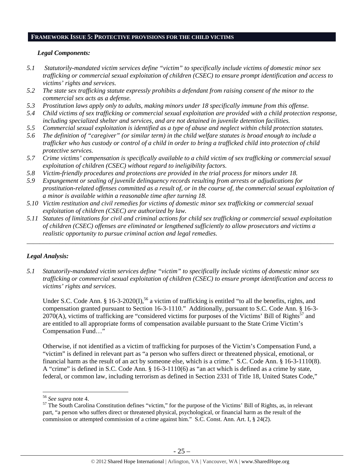# **FRAMEWORK ISSUE 5: PROTECTIVE PROVISIONS FOR THE CHILD VICTIMS**

#### *Legal Components:*

- *5.1 Statutorily-mandated victim services define "victim" to specifically include victims of domestic minor sex trafficking or commercial sexual exploitation of children (CSEC) to ensure prompt identification and access to victims' rights and services.*
- *5.2 The state sex trafficking statute expressly prohibits a defendant from raising consent of the minor to the commercial sex acts as a defense.*
- *5.3 Prostitution laws apply only to adults, making minors under 18 specifically immune from this offense.*
- *5.4 Child victims of sex trafficking or commercial sexual exploitation are provided with a child protection response, including specialized shelter and services, and are not detained in juvenile detention facilities.*
- *5.5 Commercial sexual exploitation is identified as a type of abuse and neglect within child protection statutes.*
- *5.6 The definition of "caregiver" (or similar term) in the child welfare statutes is broad enough to include a trafficker who has custody or control of a child in order to bring a trafficked child into protection of child protective services.*
- *5.7 Crime victims' compensation is specifically available to a child victim of sex trafficking or commercial sexual exploitation of children (CSEC) without regard to ineligibility factors.*
- *5.8 Victim-friendly procedures and protections are provided in the trial process for minors under 18.*
- *5.9 Expungement or sealing of juvenile delinquency records resulting from arrests or adjudications for prostitution-related offenses committed as a result of, or in the course of, the commercial sexual exploitation of a minor is available within a reasonable time after turning 18.*
- *5.10 Victim restitution and civil remedies for victims of domestic minor sex trafficking or commercial sexual exploitation of children (CSEC) are authorized by law.*
- *5.11 Statutes of limitations for civil and criminal actions for child sex trafficking or commercial sexual exploitation of children (CSEC) offenses are eliminated or lengthened sufficiently to allow prosecutors and victims a realistic opportunity to pursue criminal action and legal remedies.*

*\_\_\_\_\_\_\_\_\_\_\_\_\_\_\_\_\_\_\_\_\_\_\_\_\_\_\_\_\_\_\_\_\_\_\_\_\_\_\_\_\_\_\_\_\_\_\_\_\_\_\_\_\_\_\_\_\_\_\_\_\_\_\_\_\_\_\_\_\_\_\_\_\_\_\_\_\_\_\_\_\_\_\_\_\_\_\_\_\_\_\_\_\_\_* 

# *Legal Analysis:*

*5.1 Statutorily-mandated victim services define "victim" to specifically include victims of domestic minor sex trafficking or commercial sexual exploitation of children (CSEC) to ensure prompt identification and access to victims' rights and services.* 

Under S.C. Code Ann. § 16-3-2020(I),<sup>56</sup> a victim of trafficking is entitled "to all the benefits, rights, and compensation granted pursuant to Section 16-3-1110." Additionally, pursuant to S.C. Code Ann. § 16-3-  $2070(A)$ , victims of trafficking are "considered victims for purposes of the Victims' Bill of Rights<sup>57</sup> and are entitled to all appropriate forms of compensation available pursuant to the State Crime Victim's Compensation Fund…"

Otherwise, if not identified as a victim of trafficking for purposes of the Victim's Compensation Fund, a "victim" is defined in relevant part as "a person who suffers direct or threatened physical, emotional, or financial harm as the result of an act by someone else, which is a crime." S.C. Code Ann. § 16-3-1110(8). A "crime" is defined in S.C. Code Ann. § 16-3-1110(6) as "an act which is defined as a crime by state, federal, or common law, including terrorism as defined in Section 2331 of Title 18, United States Code,"

<sup>&</sup>lt;sup>56</sup> See supra note 4.<br><sup>57</sup> The South Carolina Constitution defines "victim," for the purpose of the Victims' Bill of Rights, as, in relevant part, "a person who suffers direct or threatened physical, psychological, or financial harm as the result of the commission or attempted commission of a crime against him." S.C. Const. Ann. Art. I, § 24(2).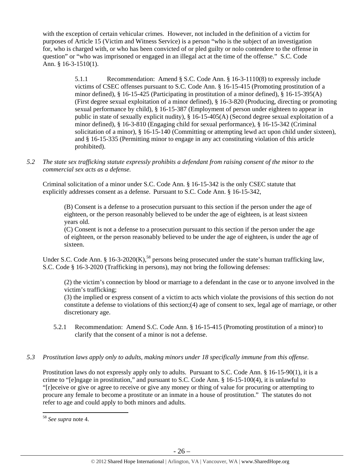with the exception of certain vehicular crimes. However, not included in the definition of a victim for purposes of Article 15 (Victim and Witness Service) is a person "who is the subject of an investigation for, who is charged with, or who has been convicted of or pled guilty or nolo contendere to the offense in question" or "who was imprisoned or engaged in an illegal act at the time of the offense." S.C. Code Ann. § 16-3-1510(1).

> 5.1.1 Recommendation: Amend § S.C. Code Ann. § 16-3-1110(8) to expressly include victims of CSEC offenses pursuant to S.C. Code Ann. § 16-15-415 (Promoting prostitution of a minor defined), § 16-15-425 (Participating in prostitution of a minor defined), § 16-15-395(A) (First degree sexual exploitation of a minor defined), § 16-3-820 (Producing, directing or promoting sexual performance by child), § 16-15-387 (Employment of person under eighteen to appear in public in state of sexually explicit nudity), § 16-15-405(A) (Second degree sexual exploitation of a minor defined), § 16-3-810 (Engaging child for sexual performance), § 16-15-342 (Criminal solicitation of a minor), § 16-15-140 (Committing or attempting lewd act upon child under sixteen), and § 16-15-335 (Permitting minor to engage in any act constituting violation of this article prohibited).

*5.2 The state sex trafficking statute expressly prohibits a defendant from raising consent of the minor to the commercial sex acts as a defense.* 

Criminal solicitation of a minor under S.C. Code Ann. § 16-15-342 is the only CSEC statute that explicitly addresses consent as a defense. Pursuant to S.C. Code Ann. § 16-15-342,

(B) Consent is a defense to a prosecution pursuant to this section if the person under the age of eighteen, or the person reasonably believed to be under the age of eighteen, is at least sixteen years old.

(C) Consent is not a defense to a prosecution pursuant to this section if the person under the age of eighteen, or the person reasonably believed to be under the age of eighteen, is under the age of sixteen.

Under S.C. Code Ann. § 16-3-2020(K),<sup>58</sup> persons being prosecuted under the state's human trafficking law, S.C. Code § 16-3-2020 (Trafficking in persons), may not bring the following defenses:

(2) the victim's connection by blood or marriage to a defendant in the case or to anyone involved in the victim's trafficking;

(3) the implied or express consent of a victim to acts which violate the provisions of this section do not constitute a defense to violations of this section;(4) age of consent to sex, legal age of marriage, or other discretionary age.

- 5.2.1 Recommendation: Amend S.C. Code Ann. § 16-15-415 (Promoting prostitution of a minor) to clarify that the consent of a minor is not a defense.
- *5.3 Prostitution laws apply only to adults, making minors under 18 specifically immune from this offense.*

Prostitution laws do not expressly apply only to adults. Pursuant to S.C. Code Ann. § 16-15-90(1), it is a crime to "[e]ngage in prostitution," and pursuant to S.C. Code Ann. § 16-15-100(4), it is unlawful to "[r]eceive or give or agree to receive or give any money or thing of value for procuring or attempting to procure any female to become a prostitute or an inmate in a house of prostitution." The statutes do not refer to age and could apply to both minors and adults.

 <sup>58</sup> *See supra* note 4.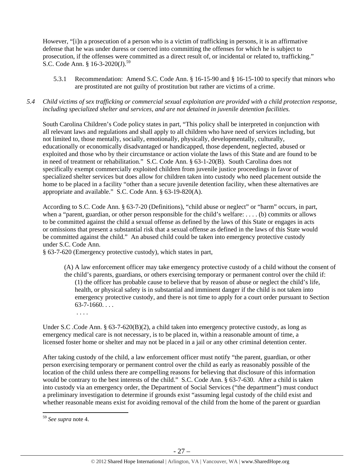However, "[i]n a prosecution of a person who is a victim of trafficking in persons, it is an affirmative defense that he was under duress or coerced into committing the offenses for which he is subject to prosecution, if the offenses were committed as a direct result of, or incidental or related to, trafficking." S.C. Code Ann. § 16-3-2020(J).<sup>59</sup>

5.3.1 Recommendation: Amend S.C. Code Ann. § 16-15-90 and § 16-15-100 to specify that minors who are prostituted are not guilty of prostitution but rather are victims of a crime.

## *5.4 Child victims of sex trafficking or commercial sexual exploitation are provided with a child protection response, including specialized shelter and services, and are not detained in juvenile detention facilities.*

South Carolina Children's Code policy states in part, "This policy shall be interpreted in conjunction with all relevant laws and regulations and shall apply to all children who have need of services including, but not limited to, those mentally, socially, emotionally, physically, developmentally, culturally, educationally or economically disadvantaged or handicapped, those dependent, neglected, abused or exploited and those who by their circumstance or action violate the laws of this State and are found to be in need of treatment or rehabilitation." S.C. Code Ann. § 63-1-20(B). South Carolina does not specifically exempt commercially exploited children from juvenile justice proceedings in favor of specialized shelter services but does allow for children taken into custody who need placement outside the home to be placed in a facility "other than a secure juvenile detention facility, when these alternatives are appropriate and available." S.C. Code Ann. § 63-19-820(A).

According to S.C. Code Ann. § 63-7-20 (Definitions), "child abuse or neglect" or "harm" occurs, in part, when a "parent, guardian, or other person responsible for the child's welfare: . . . . (b) commits or allows to be committed against the child a sexual offense as defined by the laws of this State or engages in acts or omissions that present a substantial risk that a sexual offense as defined in the laws of this State would be committed against the child." An abused child could be taken into emergency protective custody under S.C. Code Ann.

§ 63-7-620 (Emergency protective custody), which states in part,

(A) A law enforcement officer may take emergency protective custody of a child without the consent of the child's parents, guardians, or others exercising temporary or permanent control over the child if: (1) the officer has probable cause to believe that by reason of abuse or neglect the child's life, health, or physical safety is in substantial and imminent danger if the child is not taken into emergency protective custody, and there is not time to apply for a court order pursuant to Section  $63 - 7 - 1660$ ...

. . . .

Under S.C .Code Ann. § 63-7-620(B)(2), a child taken into emergency protective custody, as long as emergency medical care is not necessary, is to be placed in, within a reasonable amount of time, a licensed foster home or shelter and may not be placed in a jail or any other criminal detention center.

After taking custody of the child, a law enforcement officer must notify "the parent, guardian, or other person exercising temporary or permanent control over the child as early as reasonably possible of the location of the child unless there are compelling reasons for believing that disclosure of this information would be contrary to the best interests of the child." S.C. Code Ann. § 63-7-630. After a child is taken into custody via an emergency order, the Department of Social Services ("the department") must conduct a preliminary investigation to determine if grounds exist "assuming legal custody of the child exist and whether reasonable means exist for avoiding removal of the child from the home of the parent or guardian

<sup>59</sup> *See supra* note 4.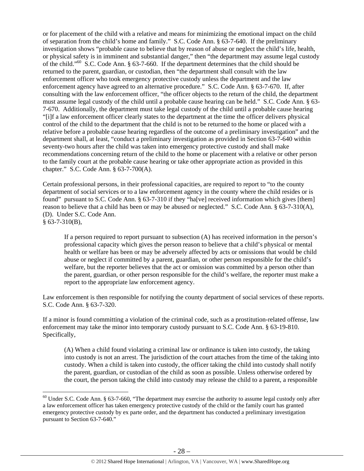or for placement of the child with a relative and means for minimizing the emotional impact on the child of separation from the child's home and family." S.C. Code Ann. § 63-7-640. If the preliminary investigation shows "probable cause to believe that by reason of abuse or neglect the child's life, health, or physical safety is in imminent and substantial danger," then "the department may assume legal custody of the child."60 S.C. Code Ann. § 63-7-660. If the department determines that the child should be returned to the parent, guardian, or custodian, then "the department shall consult with the law enforcement officer who took emergency protective custody unless the department and the law enforcement agency have agreed to an alternative procedure." S.C. Code Ann. § 63-7-670. If, after consulting with the law enforcement officer, "the officer objects to the return of the child, the department must assume legal custody of the child until a probable cause hearing can be held." S.C. Code Ann. § 63- 7-670. Additionally, the department must take legal custody of the child until a probable cause hearing "[i]f a law enforcement officer clearly states to the department at the time the officer delivers physical control of the child to the department that the child is not to be returned to the home or placed with a relative before a probable cause hearing regardless of the outcome of a preliminary investigation" and the department shall, at least, "conduct a preliminary investigation as provided in Section 63-7-640 within seventy-two hours after the child was taken into emergency protective custody and shall make recommendations concerning return of the child to the home or placement with a relative or other person to the family court at the probable cause hearing or take other appropriate action as provided in this chapter." S.C. Code Ann. § 63-7-700(A).

Certain professional persons, in their professional capacities, are required to report to "to the county department of social services or to a law enforcement agency in the county where the child resides or is found" pursuant to S.C. Code Ann. § 63-7-310 if they "ha[ve] received information which gives [them] reason to believe that a child has been or may be abused or neglected." S.C. Code Ann. § 63-7-310(A), (D). Under S.C. Code Ann.  $§$  63-7-310(B),

If a person required to report pursuant to subsection (A) has received information in the person's professional capacity which gives the person reason to believe that a child's physical or mental health or welfare has been or may be adversely affected by acts or omissions that would be child abuse or neglect if committed by a parent, guardian, or other person responsible for the child's welfare, but the reporter believes that the act or omission was committed by a person other than the parent, guardian, or other person responsible for the child's welfare, the reporter must make a report to the appropriate law enforcement agency.

Law enforcement is then responsible for notifying the county department of social services of these reports. S.C. Code Ann. § 63-7-320.

If a minor is found committing a violation of the criminal code, such as a prostitution-related offense, law enforcement may take the minor into temporary custody pursuant to S.C. Code Ann. § 63-19-810. Specifically,

(A) When a child found violating a criminal law or ordinance is taken into custody, the taking into custody is not an arrest. The jurisdiction of the court attaches from the time of the taking into custody. When a child is taken into custody, the officer taking the child into custody shall notify the parent, guardian, or custodian of the child as soon as possible. Unless otherwise ordered by the court, the person taking the child into custody may release the child to a parent, a responsible

 $60$  Under S.C. Code Ann. § 63-7-660, "The department may exercise the authority to assume legal custody only after a law enforcement officer has taken emergency protective custody of the child or the family court has granted emergency protective custody by ex parte order, and the department has conducted a preliminary investigation pursuant to Section 63-7-640."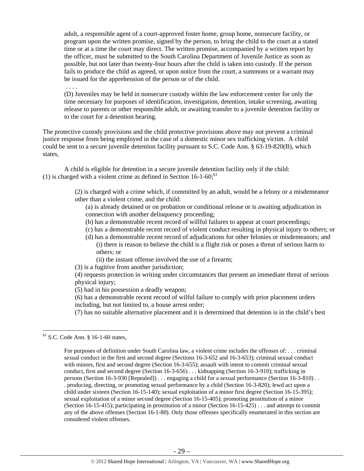adult, a responsible agent of a court-approved foster home, group home, nonsecure facility, or program upon the written promise, signed by the person, to bring the child to the court at a stated time or at a time the court may direct. The written promise, accompanied by a written report by the officer, must be submitted to the South Carolina Department of Juvenile Justice as soon as possible, but not later than twenty-four hours after the child is taken into custody. If the person fails to produce the child as agreed, or upon notice from the court, a summons or a warrant may be issued for the apprehension of the person or of the child.

. . . .

(D) Juveniles may be held in nonsecure custody within the law enforcement center for only the time necessary for purposes of identification, investigation, detention, intake screening, awaiting release to parents or other responsible adult, or awaiting transfer to a juvenile detention facility or to the court for a detention hearing.

The protective custody provisions and the child protective provisions above may not prevent a criminal justice response from being employed in the case of a domestic minor sex trafficking victim. A child could be sent to a secure juvenile detention facility pursuant to S.C. Code Ann. § 63-19-820(B), which states,

A child is eligible for detention in a secure juvenile detention facility only if the child: (1) is charged with a violent crime as defined in Section  $16-1-60$ ;<sup>61</sup>

> (2) is charged with a crime which, if committed by an adult, would be a felony or a misdemeanor other than a violent crime, and the child:

(a) is already detained or on probation or conditional release or is awaiting adjudication in connection with another delinquency proceeding;

- (b) has a demonstrable recent record of willful failures to appear at court proceedings;
- (c) has a demonstrable recent record of violent conduct resulting in physical injury to others; or
- (d) has a demonstrable recent record of adjudications for other felonies or misdemeanors; and (i) there is reason to believe the child is a flight risk or poses a threat of serious harm to others; or
	- (ii) the instant offense involved the use of a firearm;

(3) is a fugitive from another jurisdiction;

(4) requests protection in writing under circumstances that present an immediate threat of serious physical injury;

(5) had in his possession a deadly weapon;

(6) has a demonstrable recent record of wilful failure to comply with prior placement orders including, but not limited to, a house arrest order;

(7) has no suitable alternative placement and it is determined that detention is in the child's best

 61 S.C. Code Ann. § 16-1-60 states,

For purposes of definition under South Carolina law, a violent crime includes the offenses of: . . . criminal sexual conduct in the first and second degree (Sections 16-3-652 and 16-3-653); criminal sexual conduct with minors, first and second degree (Section 16-3-655); assault with intent to commit criminal sexual conduct, first and second degree (Section 16-3-656) . . . kidnapping (Section 16-3-910); trafficking in persons (Section 16-3-930 [Repealed]) . . . engaging a child for a sexual performance (Section 16-3-810) . . . producing, directing, or promoting sexual performance by a child (Section 16-3-820); lewd act upon a child under sixteen (Section 16-15-140); sexual exploitation of a minor first degree (Section 16-15-395); sexual exploitation of a minor second degree (Section 16-15-405); promoting prostitution of a minor (Section 16-15-415); participating in prostitution of a minor (Section 16-15-425) . . . and attempt to commit any of the above offenses (Section 16-1-80). Only those offenses specifically enumerated in this section are considered violent offenses.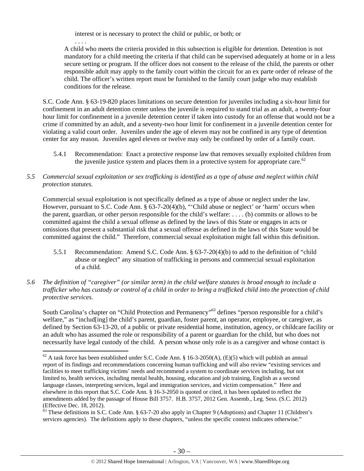interest or is necessary to protect the child or public, or both; or

. . . . A child who meets the criteria provided in this subsection is eligible for detention. Detention is not mandatory for a child meeting the criteria if that child can be supervised adequately at home or in a less secure setting or program. If the officer does not consent to the release of the child, the parents or other responsible adult may apply to the family court within the circuit for an ex parte order of release of the child. The officer's written report must be furnished to the family court judge who may establish conditions for the release.

S.C. Code Ann. § 63-19-820 places limitations on secure detention for juveniles including a six-hour limit for confinement in an adult detention center unless the juvenile is required to stand trial as an adult, a twenty-four hour limit for confinement in a juvenile detention center if taken into custody for an offense that would not be a crime if committed by an adult, and a seventy-two hour limit for confinement in a juvenile detention center for violating a valid court order. Juveniles under the age of eleven may not be confined in any type of detention center for any reason. Juveniles aged eleven or twelve may only be confined by order of a family court.

- 5.4.1 Recommendation: Enact a protective response law that removes sexually exploited children from the juvenile justice system and places them in a protective system for appropriate care.<sup>62</sup>
- *5.5 Commercial sexual exploitation or sex trafficking is identified as a type of abuse and neglect within child protection statutes.*

Commercial sexual exploitation is not specifically defined as a type of abuse or neglect under the law. However, pursuant to S.C. Code Ann. § 63-7-20(4)(b), "'Child abuse or neglect' or 'harm' occurs when the parent, guardian, or other person responsible for the child's welfare: . . . . (b) commits or allows to be committed against the child a sexual offense as defined by the laws of this State or engages in acts or omissions that present a substantial risk that a sexual offense as defined in the laws of this State would be committed against the child." Therefore, commercial sexual exploitation might fall within this definition.

- 5.5.1 Recommendation: Amend S.C. Code Ann. § 63-7-20(4)(b) to add to the definition of "child abuse or neglect" any situation of trafficking in persons and commercial sexual exploitation of a child.
- *5.6 The definition of "caregiver" (or similar term) in the child welfare statutes is broad enough to include a trafficker who has custody or control of a child in order to bring a trafficked child into the protection of child protective services.*

South Carolina's chapter on "Child Protection and Permanency"<sup>63</sup> defines "person responsible for a child's welfare," as "includ[ing] the child's parent, guardian, foster parent, an operator, employee, or caregiver, as defined by Section 63-13-20, of a public or private residential home, institution, agency, or childcare facility or an adult who has assumed the role or responsibility of a parent or guardian for the child, but who does not necessarily have legal custody of the child. A person whose only role is as a caregiver and whose contact is

 $^{62}$  A task force has been established under S.C. Code Ann. § 16-3-2050(A), (E)(5) which will publish an annual report of its findings and recommendations concerning human trafficking and will also review "existing services and facilities to meet trafficking victims' needs and recommend a system to coordinate services including, but not limited to, health services, including mental health, housing, education and job training, English as a second language classes, interpreting services, legal and immigration services, and victim compensation." Here and elsewhere in this report that S.C. Code Ann. § 16-3-2050 is quoted or cited, it has been updated to reflect the amendments added by the passage of House Bill 3757. H.B. 3757, 2012 Gen. Assemb., Leg. Sess. (S.C. 2012)

 $\frac{63}{63}$  These definitions in S.C. Code Ann. § 63-7-20 also apply in Chapter 9 (Adoptions) and Chapter 11 (Children's services agencies). The definitions apply to these chapters, "unless the specific context indicates otherwise."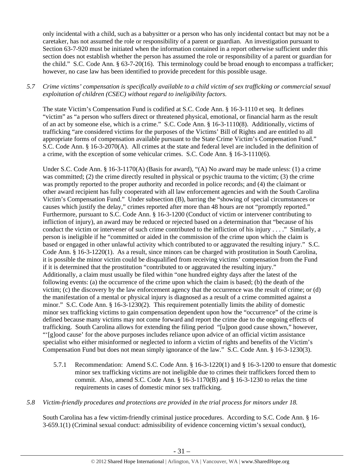only incidental with a child, such as a babysitter or a person who has only incidental contact but may not be a caretaker, has not assumed the role or responsibility of a parent or guardian. An investigation pursuant to Section 63-7-920 must be initiated when the information contained in a report otherwise sufficient under this section does not establish whether the person has assumed the role or responsibility of a parent or guardian for the child." S.C. Code Ann. § 63-7-20(16). This terminology could be broad enough to encompass a trafficker; however, no case law has been identified to provide precedent for this possible usage.

# *5.7 Crime victims' compensation is specifically available to a child victim of sex trafficking or commercial sexual exploitation of children (CSEC) without regard to ineligibility factors.*

The state Victim's Compensation Fund is codified at S.C. Code Ann. § 16-3-1110 et seq. It defines "victim" as "a person who suffers direct or threatened physical, emotional, or financial harm as the result of an act by someone else, which is a crime." S.C. Code Ann. § 16-3-1110(8). Additionally, victims of trafficking "are considered victims for the purposes of the Victims' Bill of Rights and are entitled to all appropriate forms of compensation available pursuant to the State Crime Victim's Compensation Fund." S.C. Code Ann. § 16-3-2070(A). All crimes at the state and federal level are included in the definition of a crime, with the exception of some vehicular crimes. S.C. Code Ann. § 16-3-1110(6).

Under S.C. Code Ann. § 16-3-1170(A) (Basis for award), "(A) No award may be made unless: (1) a crime was committed; (2) the crime directly resulted in physical or psychic trauma to the victim; (3) the crime was promptly reported to the proper authority and recorded in police records; and (4) the claimant or other award recipient has fully cooperated with all law enforcement agencies and with the South Carolina Victim's Compensation Fund." Under subsection (B), barring the "showing of special circumstances or causes which justify the delay," crimes reported after more than 48 hours are not "promptly reported." Furthermore, pursuant to S.C. Code Ann. § 16-3-1200 (Conduct of victim or intervener contributing to infliction of injury), an award may be reduced or rejected based on a determination that "because of his conduct the victim or intervener of such crime contributed to the infliction of his injury . . . ." Similarly, a person is ineligible if he "committed or aided in the commission of the crime upon which the claim is based or engaged in other unlawful activity which contributed to or aggravated the resulting injury." S.C. Code Ann. § 16-3-1220(1). As a result, since minors can be charged with prostitution in South Carolina, it is possible the minor victim could be disqualified from receiving victims' compensation from the Fund if it is determined that the prostitution "contributed to or aggravated the resulting injury." Additionally, a claim must usually be filed within "one hundred eighty days after the latest of the following events: (a) the occurrence of the crime upon which the claim is based; (b) the death of the victim; (c) the discovery by the law enforcement agency that the occurrence was the result of crime; or (d) the manifestation of a mental or physical injury is diagnosed as a result of a crime committed against a minor." S.C. Code Ann. § 16-3-1230(2). This requirement potentially limits the ability of domestic minor sex trafficking victims to gain compensation dependent upon how the "occurrence" of the crime is defined because many victims may not come forward and report the crime due to the ongoing effects of trafficking. South Carolina allows for extending the filing period "[u]pon good cause shown," however, "'[g]ood cause' for the above purposes includes reliance upon advice of an official victim assistance specialist who either misinformed or neglected to inform a victim of rights and benefits of the Victim's Compensation Fund but does not mean simply ignorance of the law." S.C. Code Ann. § 16-3-1230(3).

5.7.1 Recommendation: Amend S.C. Code Ann. § 16-3-1220(1) and § 16-3-1200 to ensure that domestic minor sex trafficking victims are not ineligible due to crimes their traffickers forced them to commit. Also, amend S.C. Code Ann.  $\S$  16-3-1170(B) and  $\S$  16-3-1230 to relax the time requirements in cases of domestic minor sex trafficking.

## *5.8 Victim-friendly procedures and protections are provided in the trial process for minors under 18.*

South Carolina has a few victim-friendly criminal justice procedures. According to S.C. Code Ann. § 16- 3-659.1(1) (Criminal sexual conduct: admissibility of evidence concerning victim's sexual conduct),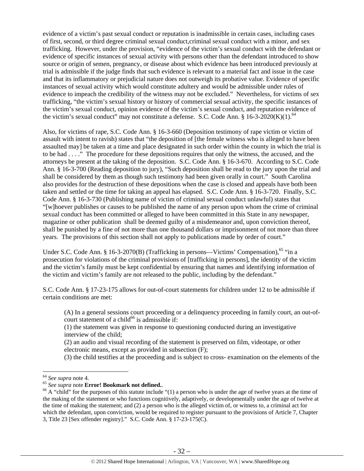evidence of a victim's past sexual conduct or reputation is inadmissible in certain cases, including cases of first, second, or third degree criminal sexual conduct,criminal sexual conduct with a minor, and sex trafficking. However, under the provision, "evidence of the victim's sexual conduct with the defendant or evidence of specific instances of sexual activity with persons other than the defendant introduced to show source or origin of semen, pregnancy, or disease about which evidence has been introduced previously at trial is admissible if the judge finds that such evidence is relevant to a material fact and issue in the case and that its inflammatory or prejudicial nature does not outweigh its probative value. Evidence of specific instances of sexual activity which would constitute adultery and would be admissible under rules of evidence to impeach the credibility of the witness may not be excluded." Nevertheless, for victims of sex trafficking, "the victim's sexual history or history of commercial sexual activity, the specific instances of the victim's sexual conduct, opinion evidence of the victim's sexual conduct, and reputation evidence of the victim's sexual conduct" may not constitute a defense. S.C. Code Ann.  $\S$  16-3-2020(K)(1).<sup>64</sup>

Also, for victims of rape, S.C. Code Ann. § 16-3-660 (Deposition testimony of rape victim or victim of assault with intent to ravish) states that "the deposition of [the female witness who is alleged to have been assaulted may] be taken at a time and place designated in such order within the county in which the trial is to be had . . . ." The procedure for these depositions requires that only the witness, the accused, and the attorneys be present at the taking of the deposition. S.C. Code Ann. § 16-3-670. According to S.C. Code Ann. § 16-3-700 (Reading deposition to jury), "Such deposition shall be read to the jury upon the trial and shall be considered by them as though such testimony had been given orally in court." South Carolina also provides for the destruction of these depositions when the case is closed and appeals have both been taken and settled or the time for taking an appeal has elapsed. S.C. Code Ann. § 16-3-720. Finally, S.C. Code Ann. § 16-3-730 (Publishing name of victim of criminal sexual conduct unlawful) states that "[w]hoever publishes or causes to be published the name of any person upon whom the crime of criminal sexual conduct has been committed or alleged to have been committed in this State in any newspaper, magazine or other publication shall be deemed guilty of a misdemeanor and, upon conviction thereof, shall be punished by a fine of not more than one thousand dollars or imprisonment of not more than three years. The provisions of this section shall not apply to publications made by order of court."

Under S.C. Code Ann. § 16-3-2070(B) (Trafficking in persons—Victims' Compensation),<sup>65</sup> "in a prosecution for violations of the criminal provisions of [trafficking in persons], the identity of the victim and the victim's family must be kept confidential by ensuring that names and identifying information of the victim and victim's family are not released to the public, including by the defendant."

S.C. Code Ann. § 17-23-175 allows for out-of-court statements for children under 12 to be admissible if certain conditions are met:

(A) In a general sessions court proceeding or a delinquency proceeding in family court, an out-ofcourt statement of a child $^{66}$  is admissible if:

(1) the statement was given in response to questioning conducted during an investigative interview of the child;

(2) an audio and visual recording of the statement is preserved on film, videotape, or other electronic means, except as provided in subsection (F);

(3) the child testifies at the proceeding and is subject to cross- examination on the elements of the

<sup>&</sup>lt;sup>64</sup> *See supra* note 4.<br><sup>65</sup> *See supra* note **Error! Bookmark not defined.**.<br><sup>66</sup> A "child" for the purposes of this statute include "(1) a person who is under the age of twelve years at the time of the making of the statement or who functions cognitively, adaptively, or developmentally under the age of twelve at the time of making the statement; and (2) a person who is the alleged victim of, or witness to, a criminal act for which the defendant, upon conviction, would be required to register pursuant to the provisions of Article 7, Chapter 3, Title 23 [Sex offender registry]." S.C. Code Ann. § 17-23-175(C).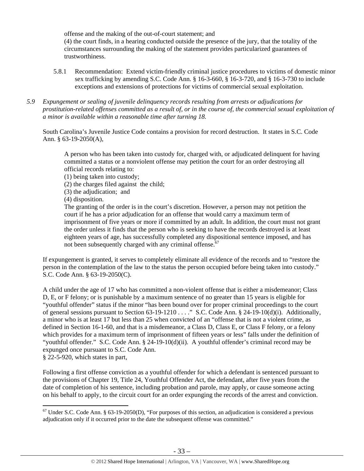offense and the making of the out-of-court statement; and (4) the court finds, in a hearing conducted outside the presence of the jury, that the totality of the circumstances surrounding the making of the statement provides particularized guarantees of trustworthiness.

- 5.8.1 Recommendation: Extend victim-friendly criminal justice procedures to victims of domestic minor sex trafficking by amending S.C. Code Ann. § 16-3-660, § 16-3-720, and § 16-3-730 to include exceptions and extensions of protections for victims of commercial sexual exploitation.
- *5.9 Expungement or sealing of juvenile delinquency records resulting from arrests or adjudications for prostitution-related offenses committed as a result of, or in the course of, the commercial sexual exploitation of a minor is available within a reasonable time after turning 18.*

South Carolina's Juvenile Justice Code contains a provision for record destruction. It states in S.C. Code Ann. § 63-19-2050(A),

A person who has been taken into custody for, charged with, or adjudicated delinquent for having committed a status or a nonviolent offense may petition the court for an order destroying all official records relating to:

- (1) being taken into custody;
- (2) the charges filed against the child;
- (3) the adjudication; and
- (4) disposition.

The granting of the order is in the court's discretion. However, a person may not petition the court if he has a prior adjudication for an offense that would carry a maximum term of imprisonment of five years or more if committed by an adult. In addition, the court must not grant the order unless it finds that the person who is seeking to have the records destroyed is at least eighteen years of age, has successfully completed any dispositional sentence imposed, and has not been subsequently charged with any criminal offense.<sup> $\vec{6}$ </sup>

If expungement is granted, it serves to completely eliminate all evidence of the records and to "restore the person in the contemplation of the law to the status the person occupied before being taken into custody." S.C. Code Ann. § 63-19-2050(C).

A child under the age of 17 who has committed a non-violent offense that is either a misdemeanor; Class D, E, or F felony; or is punishable by a maximum sentence of no greater than 15 years is eligible for "youthful offender" status if the minor "has been bound over for proper criminal proceedings to the court of general sessions pursuant to Section 63-19-1210 . . . ." S.C. Code Ann. § 24-19-10(d)(i). Additionally, a minor who is at least 17 but less than 25 when convicted of an "offense that is not a violent crime, as defined in Section 16-1-60, and that is a misdemeanor, a Class D, Class E, or Class F felony, or a felony which provides for a maximum term of imprisonment of fifteen years or less" falls under the definition of "youthful offender." S.C. Code Ann. § 24-19-10(d)(ii). A youthful offender's criminal record may be expunged once pursuant to S.C. Code Ann.

§ 22-5-920, which states in part,

Following a first offense conviction as a youthful offender for which a defendant is sentenced pursuant to the provisions of Chapter 19, Title 24, Youthful Offender Act, the defendant, after five years from the date of completion of his sentence, including probation and parole, may apply, or cause someone acting on his behalf to apply, to the circuit court for an order expunging the records of the arrest and conviction.

  $67$  Under S.C. Code Ann. § 63-19-2050(D), "For purposes of this section, an adjudication is considered a previous adjudication only if it occurred prior to the date the subsequent offense was committed."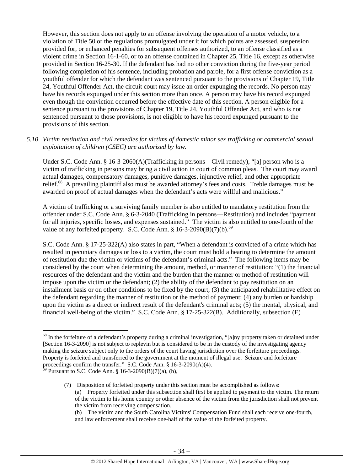However, this section does not apply to an offense involving the operation of a motor vehicle, to a violation of Title 50 or the regulations promulgated under it for which points are assessed, suspension provided for, or enhanced penalties for subsequent offenses authorized, to an offense classified as a violent crime in Section 16-1-60, or to an offense contained in Chapter 25, Title 16, except as otherwise provided in Section 16-25-30. If the defendant has had no other conviction during the five-year period following completion of his sentence, including probation and parole, for a first offense conviction as a youthful offender for which the defendant was sentenced pursuant to the provisions of Chapter 19, Title 24, Youthful Offender Act, the circuit court may issue an order expunging the records. No person may have his records expunged under this section more than once. A person may have his record expunged even though the conviction occurred before the effective date of this section. A person eligible for a sentence pursuant to the provisions of Chapter 19, Title 24, Youthful Offender Act, and who is not sentenced pursuant to those provisions, is not eligible to have his record expunged pursuant to the provisions of this section.

#### *5.10 Victim restitution and civil remedies for victims of domestic minor sex trafficking or commercial sexual exploitation of children (CSEC) are authorized by law.*

Under S.C. Code Ann. § 16-3-2060(A)(Trafficking in persons—Civil remedy), "[a] person who is a victim of trafficking in persons may bring a civil action in court of common pleas. The court may award actual damages, compensatory damages, punitive damages, injunctive relief, and other appropriate relief.68 A prevailing plaintiff also must be awarded attorney's fees and costs. Treble damages must be awarded on proof of actual damages when the defendant's acts were willful and malicious."

A victim of trafficking or a surviving family member is also entitled to mandatory restitution from the offender under S.C. Code Ann. § 6-3-2040 (Trafficking in persons—Restitution) and includes "payment for all injuries, specific losses, and expenses sustained." The victim is also entitled to one-fourth of the value of any forfeited property. S.C. Code Ann.  $§$  16-3-2090(B)(7)(b).<sup>69</sup>

S.C. Code Ann. § 17-25-322(A) also states in part, "When a defendant is convicted of a crime which has resulted in pecuniary damages or loss to a victim, the court must hold a hearing to determine the amount of restitution due the victim or victims of the defendant's criminal acts." The following items may be considered by the court when determining the amount, method, or manner of restitution: "(1) the financial resources of the defendant and the victim and the burden that the manner or method of restitution will impose upon the victim or the defendant; (2) the ability of the defendant to pay restitution on an installment basis or on other conditions to be fixed by the court; (3) the anticipated rehabilitative effect on the defendant regarding the manner of restitution or the method of payment; (4) any burden or hardship upon the victim as a direct or indirect result of the defendant's criminal acts; (5) the mental, physical, and financial well-being of the victim." S.C. Code Ann. § 17-25-322(B). Additionally, subsection (E)

 $68$  In the forfeiture of a defendant's property during a criminal investigation, "[a]ny property taken or detained under [Section 16-3-2090] is not subject to replevin but is considered to be in the custody of the investigating agency making the seizure subject only to the orders of the court having jurisdiction over the forfeiture proceedings. Property is forfeited and transferred to the government at the moment of illegal use. Seizure and forfeiture proceedings confirm the transfer." S.C. Code Ann. § 16-3-2090(A)(4).

 $69$  Pursuant to S.C. Code Ann. § 16-3-2090(B)(7)(a), (b),

<sup>(7)</sup> Disposition of forfeited property under this section must be accomplished as follows: (a) Property forfeited under this subsection shall first be applied to payment to the victim. The return of the victim to his home country or other absence of the victim from the jurisdiction shall not prevent the victim from receiving compensation.

<sup>(</sup>b) The victim and the South Carolina Victims' Compensation Fund shall each receive one-fourth, and law enforcement shall receive one-half of the value of the forfeited property.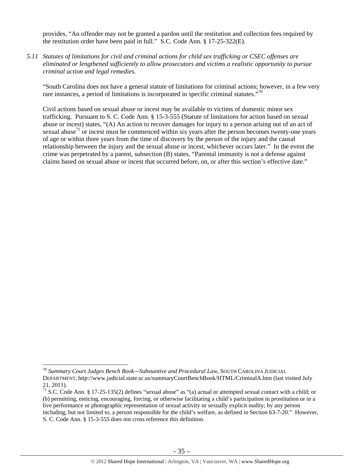provides, "An offender may not be granted a pardon until the restitution and collection fees required by the restitution order have been paid in full." S.C. Code Ann. § 17-25-322(E).

*5.11 Statutes of limitations for civil and criminal actions for child sex trafficking or CSEC offenses are eliminated or lengthened sufficiently to allow prosecutors and victims a realistic opportunity to pursue criminal action and legal remedies.* 

"South Carolina does not have a general statute of limitations for criminal actions; however, in a few very rare instances, a period of limitations is incorporated in specific criminal statutes."<sup>70</sup>

Civil actions based on sexual abuse or incest may be available to victims of domestic minor sex trafficking. Pursuant to S. C. Code Ann. § 15-3-555 (Statute of limitations for action based on sexual abuse or incest) states, "(A) An action to recover damages for injury to a person arising out of an act of sexual abuse<sup>71</sup> or incest must be commenced within six years after the person becomes twenty-one years of age or within three years from the time of discovery by the person of the injury and the causal relationship between the injury and the sexual abuse or incest, whichever occurs later." In the event the crime was perpetrated by a parent, subsection (B) states, "Parental immunity is not a defense against claims based on sexual abuse or incest that occurred before, on, or after this section's effective date."

<sup>70</sup> *Summary Court Judges Bench Book—Substantive and Procedural Law*, SOUTH CAROLINA JUDICIAL DEPARTMENT, http://www.judicial.state.sc.us/summaryCourtBenchBook/HTML/CriminalA.htm (last visited July 21, 2011).

 $\frac{71}{1}$  S.C. Code Ann. § 17-25-135(2) defines "sexual abuse" as "(a) actual or attempted sexual contact with a child; or (b) permitting, enticing, encouraging, forcing, or otherwise facilitating a child's participation in prostitution or in a live performance or photographic representation of sexual activity or sexually explicit nudity; by any person including, but not limited to, a person responsible for the child's welfare, as defined in Section 63-7-20." However, S. C. Code Ann. § 15-3-555 does not cross reference this definition.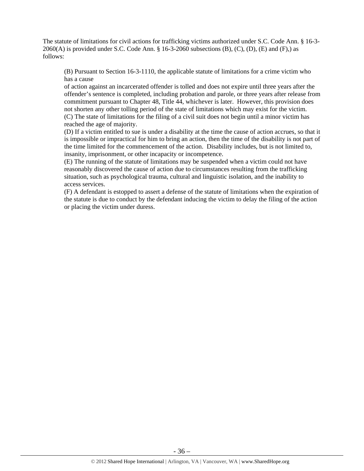The statute of limitations for civil actions for trafficking victims authorized under S.C. Code Ann. § 16-3-  $2060(A)$  is provided under S.C. Code Ann. § 16-3-2060 subsections (B), (C), (D), (E) and (F),) as follows:

(B) Pursuant to Section 16-3-1110, the applicable statute of limitations for a crime victim who has a cause

of action against an incarcerated offender is tolled and does not expire until three years after the offender's sentence is completed, including probation and parole, or three years after release from commitment pursuant to Chapter 48, Title 44, whichever is later. However, this provision does not shorten any other tolling period of the state of limitations which may exist for the victim. (C) The state of limitations for the filing of a civil suit does not begin until a minor victim has reached the age of majority.

(D) If a victim entitled to sue is under a disability at the time the cause of action accrues, so that it is impossible or impractical for him to bring an action, then the time of the disability is not part of the time limited for the commencement of the action. Disability includes, but is not limited to, insanity, imprisonment, or other incapacity or incompetence.

(E) The running of the statute of limitations may be suspended when a victim could not have reasonably discovered the cause of action due to circumstances resulting from the trafficking situation, such as psychological trauma, cultural and linguistic isolation, and the inability to access services.

(F) A defendant is estopped to assert a defense of the statute of limitations when the expiration of the statute is due to conduct by the defendant inducing the victim to delay the filing of the action or placing the victim under duress.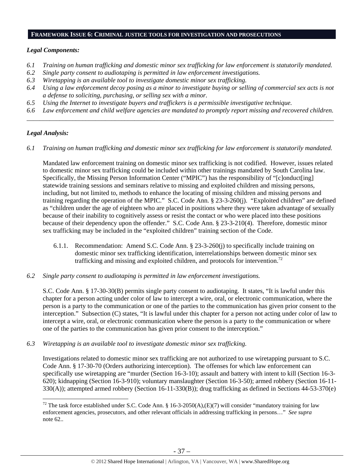#### **FRAMEWORK ISSUE 6: CRIMINAL JUSTICE TOOLS FOR INVESTIGATION AND PROSECUTIONS**

## *Legal Components:*

- *6.1 Training on human trafficking and domestic minor sex trafficking for law enforcement is statutorily mandated.*
- *6.2 Single party consent to audiotaping is permitted in law enforcement investigations.*
- *6.3 Wiretapping is an available tool to investigate domestic minor sex trafficking.*
- *6.4 Using a law enforcement decoy posing as a minor to investigate buying or selling of commercial sex acts is not a defense to soliciting, purchasing, or selling sex with a minor.*
- *6.5 Using the Internet to investigate buyers and traffickers is a permissible investigative technique.*
- *6.6 Law enforcement and child welfare agencies are mandated to promptly report missing and recovered children. \_\_\_\_\_\_\_\_\_\_\_\_\_\_\_\_\_\_\_\_\_\_\_\_\_\_\_\_\_\_\_\_\_\_\_\_\_\_\_\_\_\_\_\_\_\_\_\_\_\_\_\_\_\_\_\_\_\_\_\_\_\_\_\_\_\_\_\_\_\_\_\_\_\_\_\_\_\_\_\_\_\_\_\_\_\_\_\_\_\_\_\_\_\_*

## *Legal Analysis:*

*6.1 Training on human trafficking and domestic minor sex trafficking for law enforcement is statutorily mandated.* 

Mandated law enforcement training on domestic minor sex trafficking is not codified. However, issues related to domestic minor sex trafficking could be included within other trainings mandated by South Carolina law. Specifically, the Missing Person Information Center ("MPIC") has the responsibility of "[c]onduct[ing] statewide training sessions and seminars relative to missing and exploited children and missing persons, including, but not limited to, methods to enhance the locating of missing children and missing persons and training regarding the operation of the MPIC." S.C. Code Ann. § 23-3-260(j). "Exploited children" are defined as "children under the age of eighteen who are placed in positions where they were taken advantage of sexually because of their inability to cognitively assess or resist the contact or who were placed into these positions because of their dependency upon the offender." S.C. Code Ann. § 23-3-210(4). Therefore, domestic minor sex trafficking may be included in the "exploited children" training section of the Code.

- 6.1.1. Recommendation: Amend S.C. Code Ann. § 23-3-260(j) to specifically include training on domestic minor sex trafficking identification, interrelationships between domestic minor sex trafficking and missing and exploited children, and protocols for intervention.<sup>72</sup>
- *6.2 Single party consent to audiotaping is permitted in law enforcement investigations.*

S.C. Code Ann. § 17-30-30(B) permits single party consent to audiotaping. It states, "It is lawful under this chapter for a person acting under color of law to intercept a wire, oral, or electronic communication, where the person is a party to the communication or one of the parties to the communication has given prior consent to the interception." Subsection (C) states, "It is lawful under this chapter for a person not acting under color of law to intercept a wire, oral, or electronic communication where the person is a party to the communication or where one of the parties to the communication has given prior consent to the interception."

*6.3 Wiretapping is an available tool to investigate domestic minor sex trafficking.* 

Investigations related to domestic minor sex trafficking are not authorized to use wiretapping pursuant to S.C. Code Ann. § 17-30-70 (Orders authorizing interception). The offenses for which law enforcement can specifically use wiretapping are "murder (Section 16-3-10); assault and battery with intent to kill (Section 16-3- 620); kidnapping (Section 16-3-910); voluntary manslaughter (Section 16-3-50); armed robbery (Section 16-11- 330(A)); attempted armed robbery (Section 16-11-330(B)); drug trafficking as defined in Sections 44-53-370(e)

<sup>&</sup>lt;sup>72</sup> The task force established under S.C. Code Ann. § 16-3-2050(A),(E)(7) will consider "mandatory training for law enforcement agencies, prosecutors, and other relevant officials in addressing trafficking in persons…" *See supra* note 62..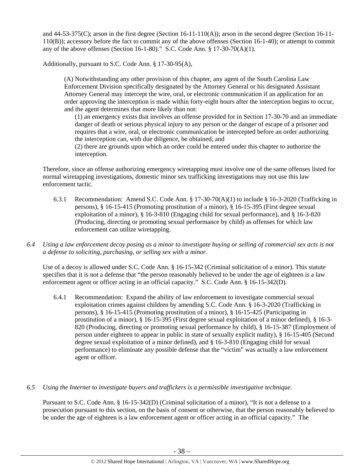and 44-53-375(C); arson in the first degree (Section 16-11-110(A)); arson in the second degree (Section 16-11- 110(B)); accessory before the fact to commit any of the above offenses (Section 16-1-40); or attempt to commit any of the above offenses (Section 16-1-80)." S.C. Code Ann.  $\S 17-30-70(A)(1)$ .

Additionally, pursuant to S.C. Code Ann. § 17-30-95(A),

(A) Notwithstanding any other provision of this chapter, any agent of the South Carolina Law Enforcement Division specifically designated by the Attorney General or his designated Assistant Attorney General may intercept the wire, oral, or electronic communication if an application for an order approving the interception is made within forty-eight hours after the interception begins to occur, and the agent determines that more likely than not:

(1) an emergency exists that involves an offense provided for in Section 17-30-70 and an immediate danger of death or serious physical injury to any person or the danger of escape of a prisoner and requires that a wire, oral, or electronic communication be intercepted before an order authorizing the interception can, with due diligence, be obtained; and

(2) there are grounds upon which an order could be entered under this chapter to authorize the interception.

Therefore, since an offense authorizing emergency wiretapping must involve one of the same offenses listed for normal wiretapping investigations, domestic minor sex trafficking investigations may not use this law enforcement tactic.

- 6.3.1 Recommendation: Amend S.C. Code Ann. § 17-30-70(A)(1) to include § 16-3-2020 (Trafficking in persons), § 16-15-415 (Promoting prostitution of a minor), § 16-15-395 (First degree sexual exploitation of a minor), § 16-3-810 (Engaging child for sexual performance), and § 16-3-820 (Producing, directing or promoting sexual performance by child) as offenses for which law enforcement can utilize wiretapping.
- *6.4 Using a law enforcement decoy posing as a minor to investigate buying or selling of commercial sex acts is not a defense to soliciting, purchasing, or selling sex with a minor.*

Use of a decoy is allowed under S.C. Code Ann. § 16-15-342 (Criminal solicitation of a minor). This statute specifies that it is not a defense that "the person reasonably believed to be under the age of eighteen is a law enforcement agent or officer acting in an official capacity." S.C. Code Ann. § 16-15-342(D).

6.4.1 Recommendation: Expand the ability of law enforcement to investigate commercial sexual exploitation crimes against children by amending S.C. Code Ann. § 16-3-2020 (Trafficking in persons), § 16-15-415 (Promoting prostitution of a minor), § 16-15-425 (Participating in prostitution of a minor), § 16-15-395 (First degree sexual exploitation of a minor defined), § 16-3- 820 (Producing, directing or promoting sexual performance by child), § 16-15-387 (Employment of person under eighteen to appear in public in state of sexually explicit nudity), § 16-15-405 (Second degree sexual exploitation of a minor defined), and § 16-3-810 (Engaging child for sexual performance) to eliminate any possible defense that the "victim" was actually a law enforcement agent or officer.

## *6.5 Using the Internet to investigate buyers and traffickers is a permissible investigative technique.*

Pursuant to S.C. Code Ann. § 16-15-342(D) (Criminal solicitation of a minor), "It is not a defense to a prosecution pursuant to this section, on the basis of consent or otherwise, that the person reasonably believed to be under the age of eighteen is a law enforcement agent or officer acting in an official capacity." The